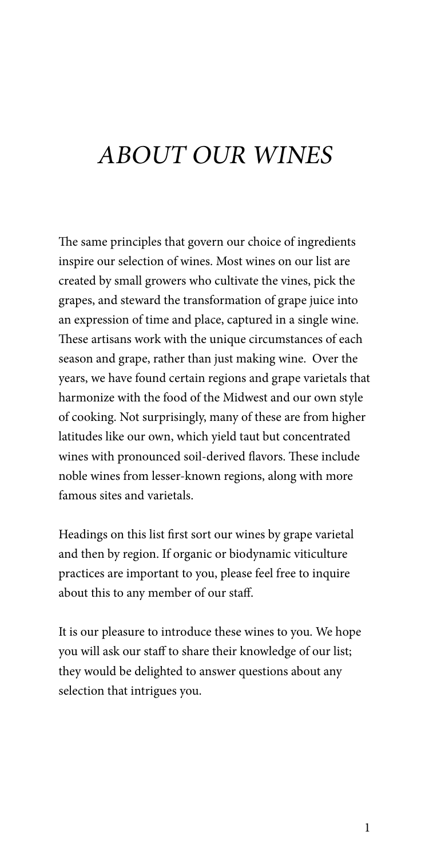# ABOUT OUR WINES

The same principles that govern our choice of ingredients inspire our selection of wines. Most wines on our list are created by small growers who cultivate the vines, pick the grapes, and steward the transformation of grape juice into an expression of time and place, captured in a single wine. These artisans work with the unique circumstances of each season and grape, rather than just making wine. Over the years, we have found certain regions and grape varietals that harmonize with the food of the Midwest and our own style of cooking. Not surprisingly, many of these are from higher latitudes like our own, which yield taut but concentrated wines with pronounced soil-derived flavors. These include noble wines from lesser-known regions, along with more famous sites and varietals.

Headings on this list first sort our wines by grape varietal and then by region. If organic or biodynamic viticulture practices are important to you, please feel free to inquire about this to any member of our staff.

It is our pleasure to introduce these wines to you. We hope you will ask our staff to share their knowledge of our list; they would be delighted to answer questions about any selection that intrigues you.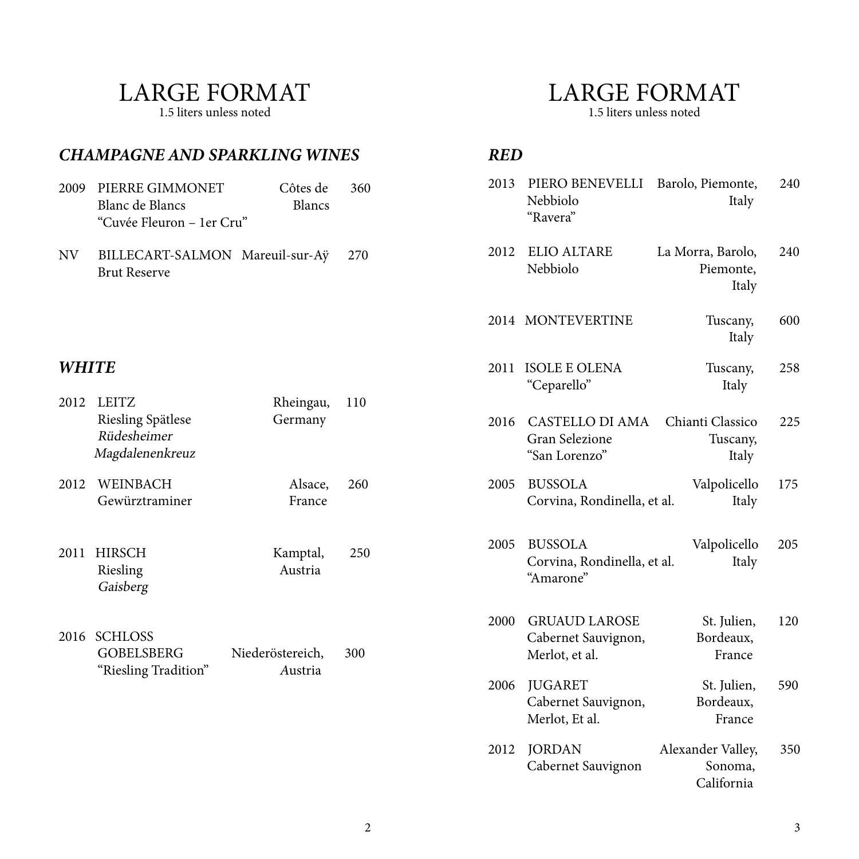#### LARGE FORMAT

1.5 liters unless noted

*WHITE*

#### *CHAMPAGNE AND SPARKLING WINES* 2009 PIERRE GIMMONET Côtes de 360 Blanc de Blancs Blancs "Cuvée Fleuron – 1er Cru" NV BILLECART-SALMON Mareuil-sur-Aÿ 270 Brut Reserve 2012 LEITZ Rheingau, 110 Riesling Spätlese Germany Rüdesheimer Magdalenenkreuz 2012 WEINBACH Alsace, 260 Gewürztraminer France 2013 PIERO BENEVELLI Barolo, Piemonte, 240 Nebbiolo Italy "Ravera" 2012 ELIO ALTARE La Morra, Barolo, 240 Nebbiolo Piemonte, Italy 2014 MONTEVERTINE Tuscany, 600 Italy 2016 CASTELLO DI AMA Chianti Classico 225 Gran Selezione Tuscany, "San Lorenzo" Italy 2000 GRUAUD LAROSE St. Julien, 120 Cabernet Sauvignon, Bordeaux, Merlot, et al. France 2011 HIRSCH Kamptal, 250 Riesling Austria Gaisberg 2016 SCHLOSS GOBELSBERG Niederöstereich, 300 "Riesling Tradition" Austria 2011 ISOLE E OLENA Tuscany, 258 "Ceparello" Italy 2005 BUSSOLA Valpolicello 175 Corvina, Rondinella, et al. Italy 2005 BUSSOLA Valpolicello 205 Corvina, Rondinella, et al. Italy "Amarone"

#### 2006 JUGARET St. Julien, 590 Cabernet Sauvignon, Bordeaux, Merlot, Et al. France

2012 JORDAN Alexander Valley, 350 Cabernet Sauvignon Sonoma, California

#### LARGE FORMAT

1.5 liters unless noted

#### *RED*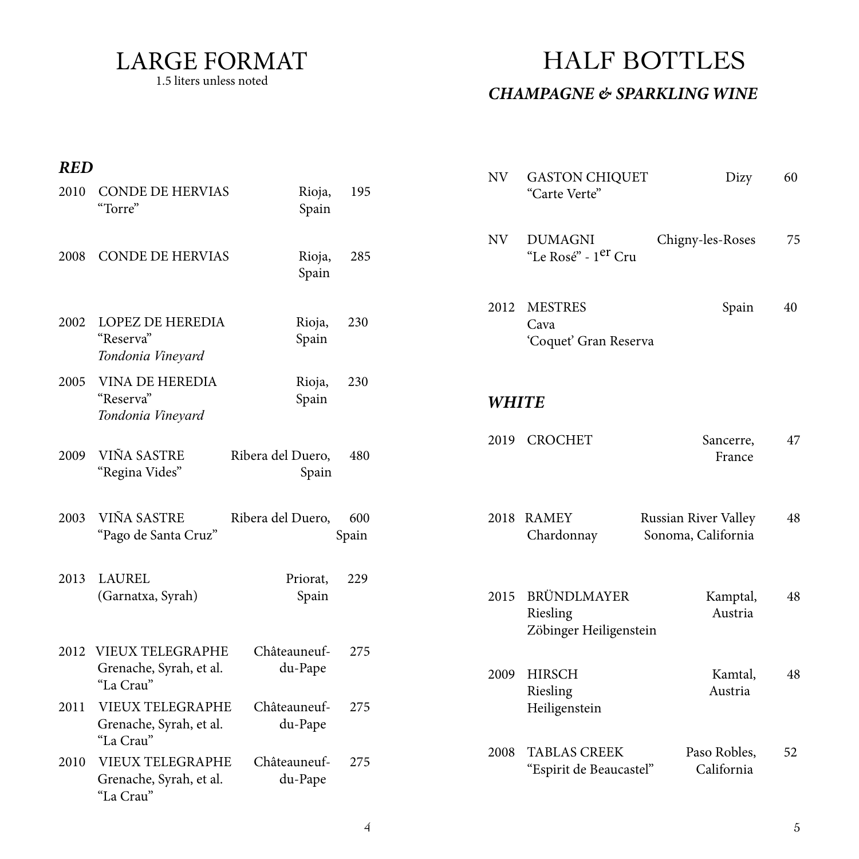LARGE FORMAT 1.5 liters unless noted

### HALF BOTTLES

#### *CHAMPAGNE & SPARKLING WINE*

#### *RED*

| KCD  |                                                                 |                            |              | <b>NV</b>    | <b>GASTON CHIQUET</b>                             | Dizy                                       | 60 |
|------|-----------------------------------------------------------------|----------------------------|--------------|--------------|---------------------------------------------------|--------------------------------------------|----|
| 2010 | <b>CONDE DE HERVIAS</b><br>"Torre"                              | Rioja,<br>Spain            | 195          |              | "Carte Verte"                                     |                                            |    |
| 2008 | <b>CONDE DE HERVIAS</b>                                         | Rioja,<br>Spain            | 285          | <b>NV</b>    | <b>DUMAGNI</b><br>"Le Rosé" - 1 <sup>er</sup> Cru | Chigny-les-Roses                           | 75 |
| 2002 | <b>LOPEZ DE HEREDIA</b><br>"Reserva"<br>Tondonia Vineyard       | Rioja,<br>Spain            | 230          | 2012         | <b>MESTRES</b><br>Cava<br>'Coquet' Gran Reserva   | Spain                                      | 40 |
| 2005 | <b>VINA DE HEREDIA</b><br>"Reserva"<br>Tondonia Vineyard        | Rioja,<br>Spain            | 230          | <b>WHITE</b> |                                                   |                                            |    |
| 2009 | VIÑA SASTRE<br>"Regina Vides"                                   | Ribera del Duero,<br>Spain | 480          | 2019         | <b>CROCHET</b>                                    | Sancerre,<br>France                        | 47 |
| 2003 | VIÑA SASTRE<br>"Pago de Santa Cruz"                             | Ribera del Duero,          | 600<br>Spain |              | 2018 RAMEY<br>Chardonnay                          | Russian River Valley<br>Sonoma, California | 48 |
| 2013 | <b>LAUREL</b><br>(Garnatxa, Syrah)                              | Priorat,<br>Spain          | 229          | 2015         | BRÜNDLMAYER<br>Riesling<br>Zöbinger Heiligenstein | Kamptal,<br>Austria                        | 48 |
|      | 2012 VIEUX TELEGRAPHE<br>Grenache, Syrah, et al.<br>"La Crau"   | Châteauneuf-<br>du-Pape    | 275          | 2009         | <b>HIRSCH</b><br>Riesling                         | Kamtal,<br>Austria                         | 48 |
| 2011 | <b>VIEUX TELEGRAPHE</b><br>Grenache, Syrah, et al.<br>"La Crau" | Châteauneuf-<br>du-Pape    | 275          |              | Heiligenstein                                     |                                            |    |
| 2010 | <b>VIEUX TELEGRAPHE</b><br>Grenache, Syrah, et al.<br>"La Crau" | Châteauneuf-<br>du-Pape    | 275          | 2008         | <b>TABLAS CREEK</b><br>"Espirit de Beaucastel"    | Paso Robles,<br>California                 | 52 |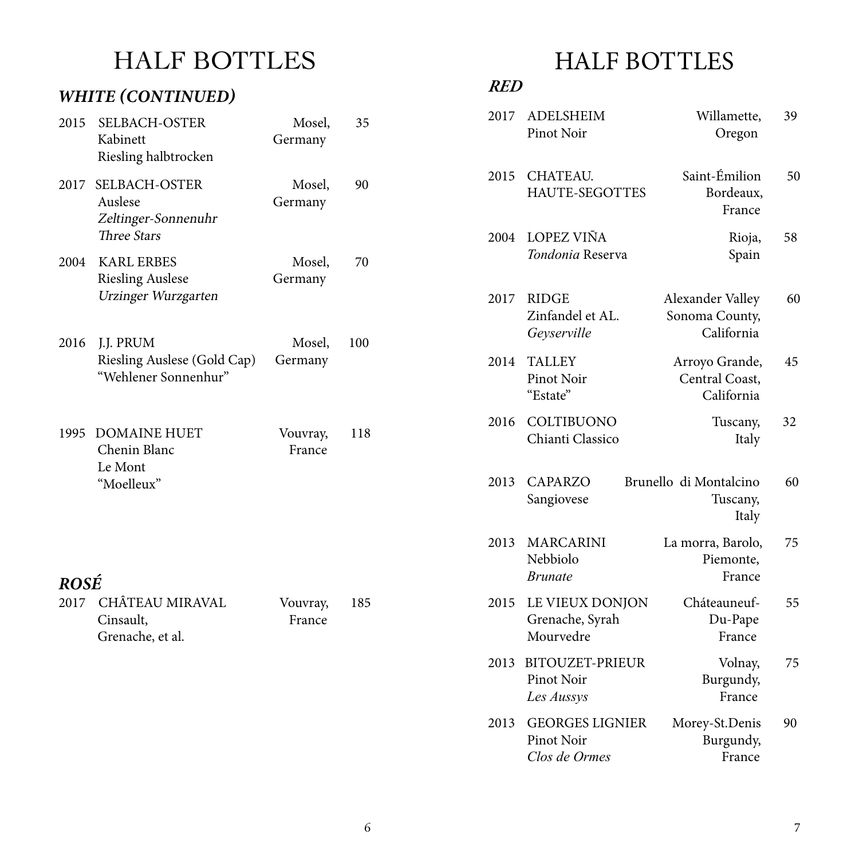# HALF BOTTLES

#### *WHITE (CONTINUED)*

| 2015        | <b>SELBACH-OSTER</b><br>Kabinett<br>Riesling halbtrocken                     | Mosel,<br>Germany  | 35  |
|-------------|------------------------------------------------------------------------------|--------------------|-----|
| 2017        | <b>SELBACH-OSTER</b><br>Auslese<br>Zeltinger-Sonnenuhr<br><b>Three Stars</b> | Mosel,<br>Germany  | 90  |
| 2004        | <b>KARL ERBES</b><br><b>Riesling Auslese</b><br>Urzinger Wurzgarten          | Mosel,<br>Germany  | 70  |
| 2016        | J.J. PRUM<br>Riesling Auslese (Gold Cap)<br>"Wehlener Sonnenhur"             | Mosel,<br>Germany  | 100 |
|             | 1995 DOMAINE HUET<br>Chenin Blanc<br>Le Mont<br>"Moelleux"                   | Vouvray,<br>France | 118 |
| <b>ROSÉ</b> | 2017 CHÂTEAU MIRAVAL<br>Cinsault,<br>Grenache, et al.                        | Vouvray,<br>France | 185 |

# HALF BOTTLES

#### *RED*

| 2017 | <b>ADELSHEIM</b><br>Pinot Noir                        | Willamette,<br>Oregon                            | 39 |
|------|-------------------------------------------------------|--------------------------------------------------|----|
| 2015 | CHATEAU.<br><b>HAUTE-SEGOTTES</b>                     | Saint-Émilion<br>Bordeaux,<br>France             | 50 |
| 2004 | <b>LOPEZ VIÑA</b><br>Tondonia Reserva                 | Rioja,<br>Spain                                  | 58 |
| 2017 | <b>RIDGE</b><br>Zinfandel et AL.<br>Geyserville       | Alexander Valley<br>Sonoma County,<br>California | 60 |
| 2014 | <b>TALLEY</b><br><b>Pinot Noir</b><br>"Estate"        | Arroyo Grande,<br>Central Coast,<br>California   | 45 |
| 2016 | COLTIBUONO<br>Chianti Classico                        | Tuscany,<br>Italy                                | 32 |
| 2013 | <b>CAPARZO</b><br>Sangiovese                          | Brunello di Montalcino<br>Tuscany,<br>Italy      | 60 |
| 2013 | <b>MARCARINI</b><br>Nebbiolo<br><i>Brunate</i>        | La morra, Barolo,<br>Piemonte,<br>France         | 75 |
| 2015 | LE VIEUX DONJON<br>Grenache, Syrah<br>Mourvedre       | Cháteauneuf-<br>Du-Pape<br>France                | 55 |
| 2013 | BITOUZET-PRIEUR<br>Pinot Noir<br>Les Aussys           | Volnay,<br>Burgundy,<br>France                   | 75 |
| 2013 | <b>GEORGES LIGNIER</b><br>Pinot Noir<br>Clos de Ormes | Morey-St.Denis<br>Burgundy,<br>France            | 90 |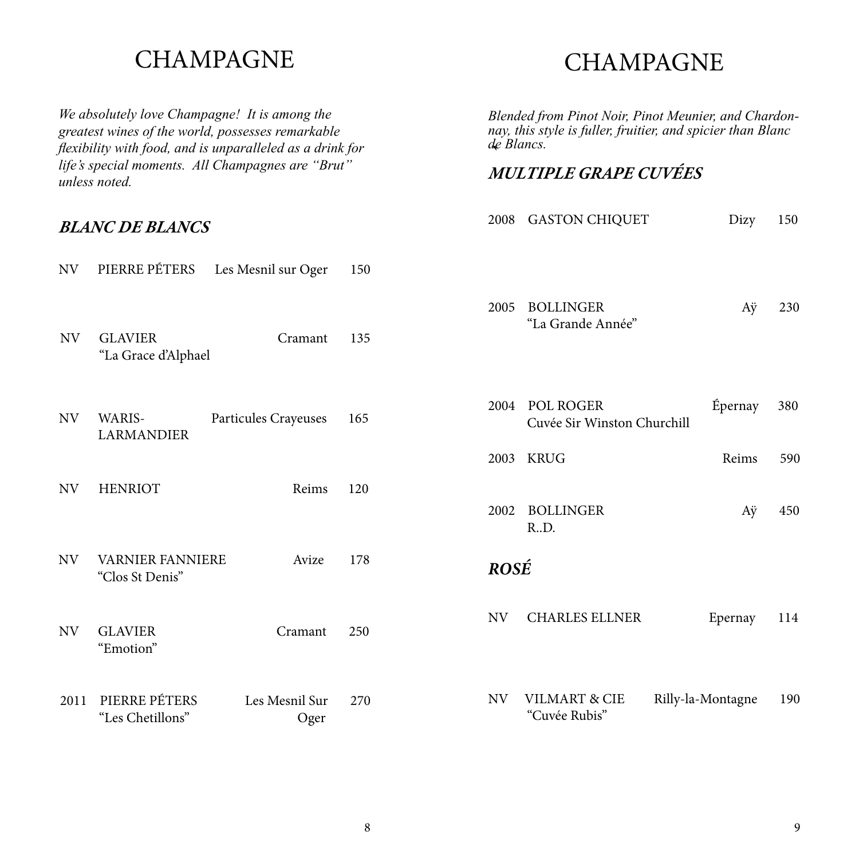#### CHAMPAGNE

*We absolutely love Champagne! It is among the greatest wines of the world, possesses remarkable flexibility with food, and is unparalleled as a drink for life's special moments. All Champagnes are "Brut" unless noted.*

"Les Chetillons" Oger

#### *BLANC DE BLANCS*

#### NV PIERRE PÉTERS Les Mesnil sur Oger 150 NV GLAVIER Cramant 135 "La Grace d'Alphael NV WARIS- Particules Crayeuses 165 LARMANDIER NV HENRIOT Reims 120 2011 PIERRE PÉTERS Les Mesnil Sur 270 NV GLAVIER Cramant 250 "Emotion" NV VARNIER FANNIERE Avize 178 "Clos St Denis" 2002 BOLLINGER Aÿ 450 R..D. 2005 BOLLINGER Aÿ 230 "La Grande Année" 2004 POL ROGER Épernay 380 Cuvée Sir Winston Churchill *ROSÉ* NV VILMART & CIE Rilly-la-Montagne 190 NV CHARLES ELLNER Epernay 114 2003 KRUG Reims 590

### CHAMPAGNE

*Blended from Pinot Noir, Pinot Meunier, and Chardon- nay, this style is fuller, fruitier, and spicier than Blanc* 

*de Blancs. `*

2008 GASTON CHIQUET Dizy 150

*MULTIPLE GRAPE CUVÉES*

"Cuvée Rubis"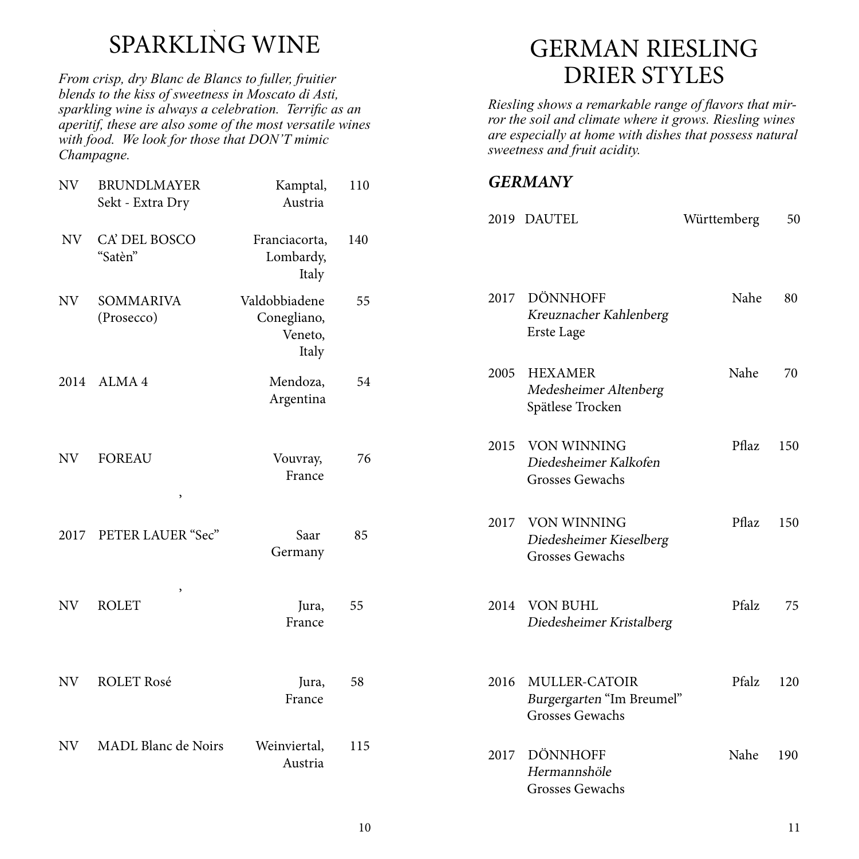# SPARKLING WINE

*From crisp, dry Blanc de Blancs to fuller, fruitier blends to the kiss of sweetness in Moscato di Asti, sparkling wine is always a celebration. Terrific as an aperitif, these are also some of the most versatile wines with food. We look for those that DON'T mimic Champagne.*

| NV   | <b>BRUNDLMAYER</b><br>Sekt - Extra Dry | Kamptal,<br>Austria                              | 110 |      | <b>GERMANY</b>                     |
|------|----------------------------------------|--------------------------------------------------|-----|------|------------------------------------|
|      |                                        |                                                  |     |      | 2019 DAUTE                         |
| NV   | CA' DEL BOSCO<br>"Satèn"               | Franciacorta,<br>Lombardy,<br>Italy              | 140 |      |                                    |
| NV   | <b>SOMMARIVA</b><br>(Prosecco)         | Valdobbiadene<br>Conegliano,<br>Veneto,<br>Italy | 55  | 2017 | DÖNN<br>Kreuzn<br>Erste La         |
| 2014 | ALMA <sub>4</sub>                      | Mendoza,<br>Argentina                            | 54  | 2005 | <b>HEXAI</b><br>Medesh<br>Spätlese |
| NV   | <b>FOREAU</b><br>$\,$                  | Vouvray,<br>France                               | 76  | 2015 | VON W<br>Diedesl<br>Grosses        |
| 2017 | PETER LAUER "Sec"                      | Saar<br>Germany                                  | 85  | 2017 | VON W<br>Diedesl<br>Grosses        |
| NV   | $\,$<br><b>ROLET</b>                   | Jura,<br>France                                  | 55  | 2014 | VON B<br>Diedesl                   |
| NV   | <b>ROLET Rosé</b>                      | Jura,<br>France                                  | 58  | 2016 | MULLI<br>Burgerg<br>Grosses        |
| NV   | <b>MADL Blanc de Noirs</b>             | Weinviertal,<br>Austria                          | 115 | 2017 | DÖNN<br>Hermai<br>Grosses          |

## GERMAN RIESLING DRIER STYLES

*Riesling shows a remarkable range of flavors that mirror the soil and climate where it grows. Riesling wines are especially at home with dishes that possess natural sweetness and fruit acidity.*

#### *GERMANY*

|      | 2019 DAUTEL                                                               | Württemberg | 50  |
|------|---------------------------------------------------------------------------|-------------|-----|
|      | 2017 DÖNNHOFF<br>Kreuznacher Kahlenberg<br>Erste Lage                     | Nahe        | 80  |
| 2005 | <b>HEXAMER</b><br>Medesheimer Altenberg<br>Spätlese Trocken               | Nahe        | 70  |
|      | 2015 VON WINNING<br>Diedesheimer Kalkofen<br><b>Grosses Gewachs</b>       | Pflaz       | 150 |
|      | 2017 VON WINNING<br>Diedesheimer Kieselberg<br><b>Grosses Gewachs</b>     | Pflaz       | 150 |
|      | 2014 VON BUHL<br>Diedesheimer Kristalberg                                 | Pfalz       | 75  |
|      | 2016 MULLER-CATOIR<br>Burgergarten "Im Breumel"<br><b>Grosses Gewachs</b> | Pfalz       | 120 |
|      | 2017 DÖNNHOFF<br>Hermannshöle<br><b>Grosses Gewachs</b>                   | Nahe        | 190 |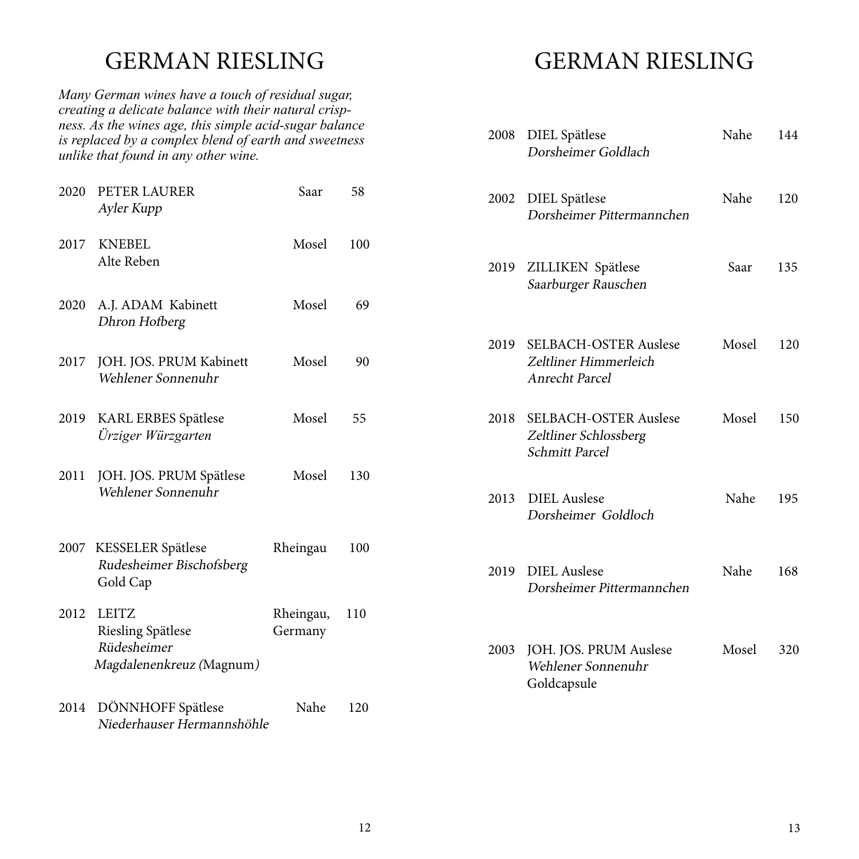### GERMAN RIESLING

*Many German wines have a touch of residual sugar, creating a delicate balance with their natural crispness. As the wines age, this simple acid-sugar balance is replaced by a complex blend of earth and sweetness unlike that found in any other wine.*

| 2020 | PETER LAURER<br>Ayler Kupp                                                          | Saar                 | 58  |  |
|------|-------------------------------------------------------------------------------------|----------------------|-----|--|
| 2017 | <b>KNEBEL</b><br>Alte Reben                                                         | Mosel                | 100 |  |
| 2020 | A.J. ADAM Kabinett<br>Dhron Hofberg                                                 | Mosel                | 69  |  |
| 2017 | JOH. JOS. PRUM Kabinett<br>Wehlener Sonnenuhr                                       | Mosel                | 90  |  |
| 2019 | <b>KARL ERBES Spätlese</b><br>Ürziger Würzgarten                                    | Mosel                | 55  |  |
| 2011 | JOH. JOS. PRUM Spätlese<br>Wehlener Sonnenuhr                                       | Mosel                | 130 |  |
| 2007 | KESSELER Spätlese<br>Rudesheimer Bischofsberg<br>Gold Cap                           | Rheingau             | 100 |  |
| 2012 | <b>LEITZ</b><br><b>Riesling Spätlese</b><br>Rüdesheimer<br>Magdalenenkreuz (Magnum) | Rheingau,<br>Germany | 110 |  |
| 2014 | DÖNNHOFF Spätlese<br>Niederhauser Hermannshöhle                                     | Nahe                 | 120 |  |

## GERMAN RIESLING

| 2008 | DIEL Spätlese<br>Dorsheimer Goldlach                                           | Nahe  | 144 |
|------|--------------------------------------------------------------------------------|-------|-----|
| 2002 | DIEL Spätlese<br>Dorsheimer Pittermannchen                                     | Nahe  | 120 |
|      | 2019 ZILLIKEN Spätlese<br>Saarburger Rauschen                                  | Saar  | 135 |
|      | 2019 SELBACH-OSTER Auslese<br>Zeltliner Himmerleich<br>Anrecht Parcel          | Mosel | 120 |
| 2018 | <b>SELBACH-OSTER Auslese</b><br>Zeltliner Schlossberg<br><b>Schmitt Parcel</b> | Mosel | 150 |
|      | 2013 DIEL Auslese<br>Dorsheimer Goldloch                                       | Nahe  | 195 |
|      | 2019 DIEL Auslese<br>Dorsheimer Pittermannchen                                 | Nahe  | 168 |
| 2003 | JOH. JOS. PRUM Auslese<br>Wehlener Sonnenuhr<br>Goldcapsule                    | Mosel | 320 |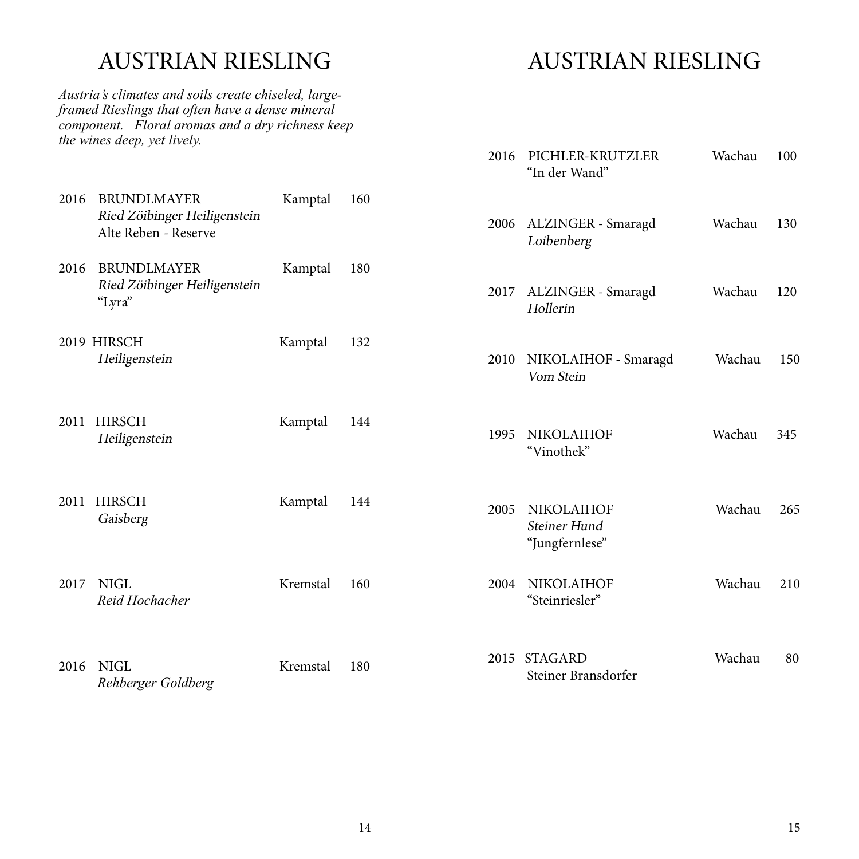### AUSTRIAN RIESLING

*Austria's climates and soils create chiseled, largeframed Rieslings that often have a dense mineral component. Floral aromas and a dry richness keep the wines deep, yet lively.*

## AUSTRIAN RIESLING

|      |                                                                            |          |     | 2016 | PICHLER-KRUTZLER<br>"In der Wand"                   | Wachau | 100 |
|------|----------------------------------------------------------------------------|----------|-----|------|-----------------------------------------------------|--------|-----|
| 2016 | <b>BRUNDLMAYER</b><br>Ried Zöibinger Heiligenstein<br>Alte Reben - Reserve | Kamptal  | 160 | 2006 | ALZINGER - Smaragd<br>Loibenberg                    | Wachau | 130 |
| 2016 | <b>BRUNDLMAYER</b><br>Ried Zöibinger Heiligenstein<br>"Lyra"               | Kamptal  | 180 | 2017 | ALZINGER - Smaragd<br>Hollerin                      | Wachau | 120 |
|      | 2019 HIRSCH<br>Heiligenstein                                               | Kamptal  | 132 | 2010 | NIKOLAIHOF - Smaragd<br>Vom Stein                   | Wachau | 150 |
| 2011 | <b>HIRSCH</b><br>Heiligenstein                                             | Kamptal  | 144 | 1995 | <b>NIKOLAIHOF</b><br>"Vinothek"                     | Wachau | 345 |
| 2011 | <b>HIRSCH</b><br>Gaisberg                                                  | Kamptal  | 144 | 2005 | <b>NIKOLAIHOF</b><br>Steiner Hund<br>"Jungfernlese" | Wachau | 265 |
| 2017 | <b>NIGL</b><br>Reid Hochacher                                              | Kremstal | 160 | 2004 | <b>NIKOLAIHOF</b><br>"Steinriesler"                 | Wachau | 210 |
| 2016 | <b>NIGL</b><br>Rehberger Goldberg                                          | Kremstal | 180 |      | 2015 STAGARD<br>Steiner Bransdorfer                 | Wachau | 80  |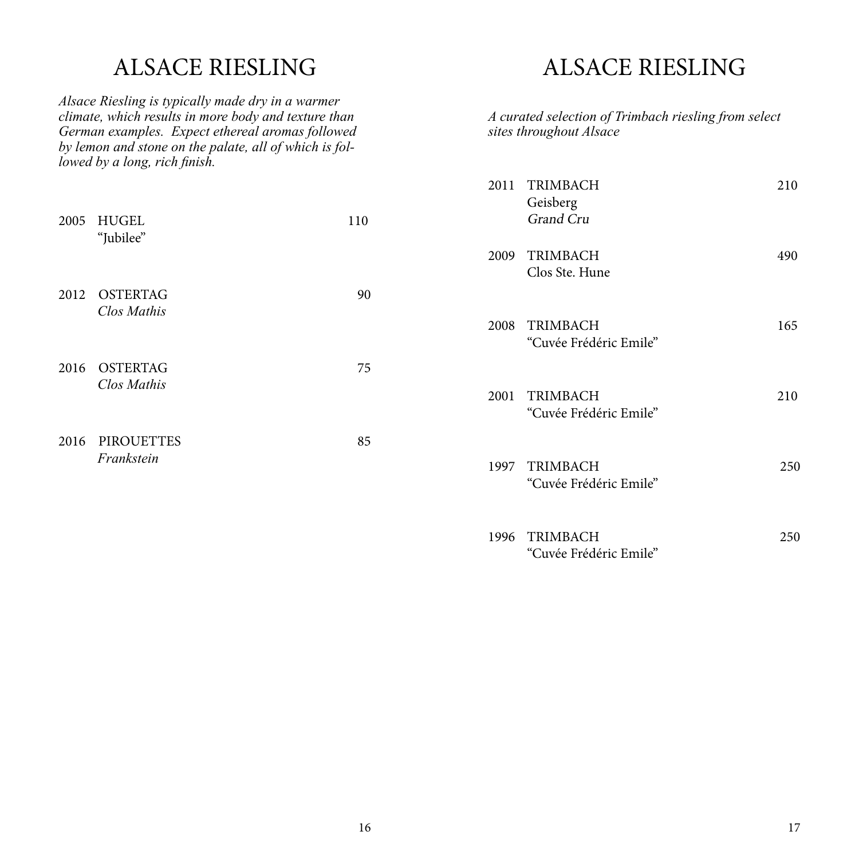### ALSACE RIESLING

*Alsace Riesling is typically made dry in a warmer climate, which results in more body and texture than German examples. Expect ethereal aromas followed by lemon and stone on the palate, all of which is followed by a long, rich finish.*

|      | 2005 HUGEL<br>"Jubilee"         | 110 |
|------|---------------------------------|-----|
|      | 2012 OSTERTAG<br>Clos Mathis    | 90  |
|      | 2016 OSTERTAG<br>Clos Mathis    | 75  |
| 2016 | <b>PIROUETTES</b><br>Frankstein | 85  |

### ALSACE RIESLING

*A curated selection of Trimbach riesling from select sites throughout Alsace*

| 2011 TRIMBACH<br>Geisberg<br><b>Grand Cru</b> | 210 |
|-----------------------------------------------|-----|
| 2009 TRIMBACH<br>Clos Ste. Hune               | 490 |
| 2008 TRIMBACH<br>"Cuvée Frédéric Emile"       | 165 |
| 2001 TRIMBACH<br>"Cuvée Frédéric Emile"       | 210 |
| 1997 TRIMBACH<br>"Cuvée Frédéric Emile"       | 250 |
| 1996 TRIMBACH<br>"Cuvée Frédéric Emile"       | 250 |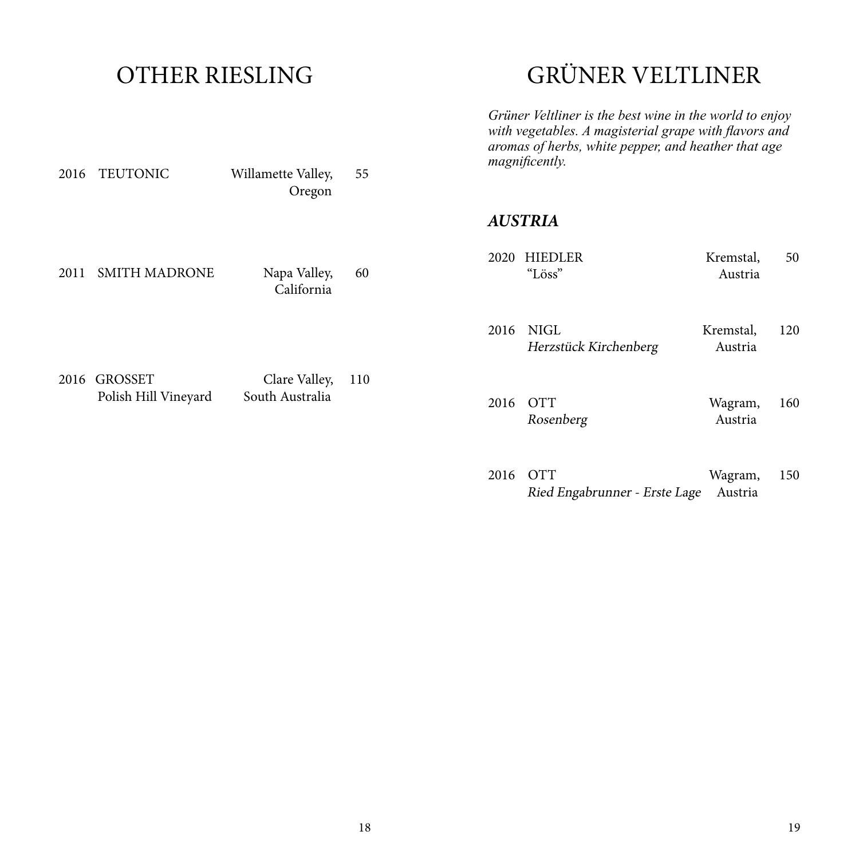### OTHER RIESLING

2016 TEUTONIC Willamette Valley, 55

Oregon

# GRÜNER VELTLINER

*Grüner Veltliner is the best wine in the world to enjoy with vegetables. A magisterial grape with flavors and aromas of herbs, white pepper, and heather that age magnificently.* 

#### *AUSTRIA*

| 2011 | <b>SMITH MADRONE</b>                 | Napa Valley,<br>California       | 60  | 2020 | HIEDLER<br>"Löss"             | Kremstal,<br>Austria | 50  |
|------|--------------------------------------|----------------------------------|-----|------|-------------------------------|----------------------|-----|
|      |                                      |                                  |     | 2016 | NIGL<br>Herzstück Kirchenberg | Kremstal,<br>Austria | 120 |
|      | 2016 GROSSET<br>Polish Hill Vineyard | Clare Valley,<br>South Australia | 110 | 2016 | <b>OTT</b><br>Rosenberg       | Wagram,<br>Austria   | 160 |

2016 OTT Wagram, 150 Ried Engabrunner - Erste Lage Austria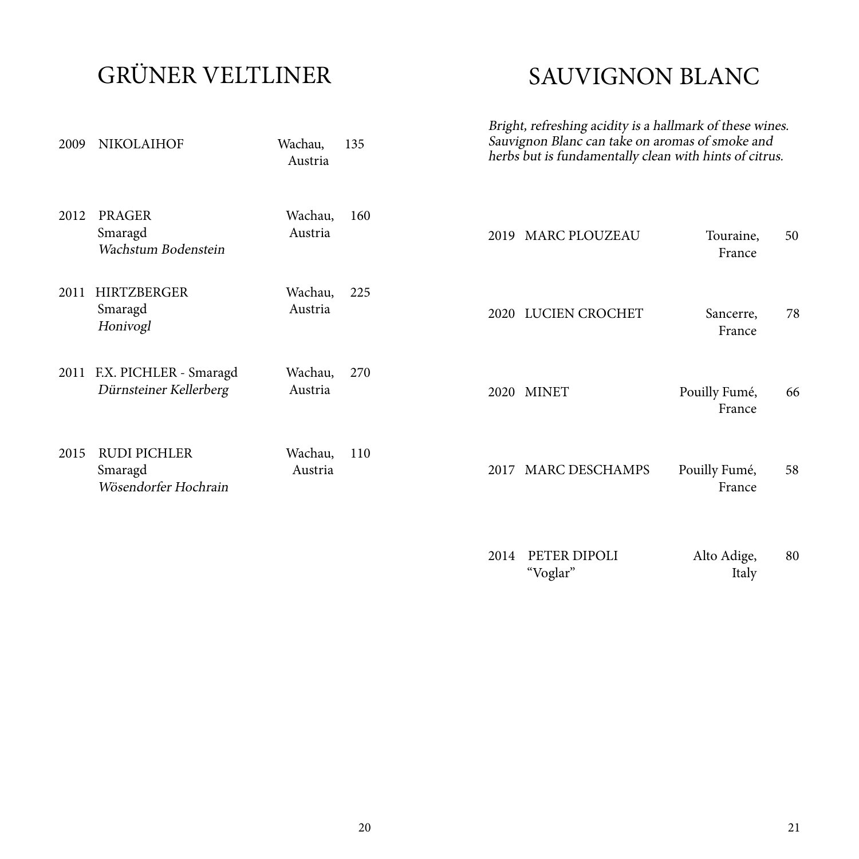# GRÜNER VELTLINER

## SAUVIGNON BLANC

| 2009 | <b>NIKOLAIHOF</b>                                      | Wachau,<br>Austria | 135 | Bright, refreshing acidity is a hallmark of these wines.<br>Sauvignon Blanc can take on aromas of smoke and<br>herbs but is fundamentally clean with hints of citrus. |                          |                         |    |
|------|--------------------------------------------------------|--------------------|-----|-----------------------------------------------------------------------------------------------------------------------------------------------------------------------|--------------------------|-------------------------|----|
| 2012 | <b>PRAGER</b><br>Smaragd<br>Wachstum Bodenstein        | Wachau,<br>Austria | 160 |                                                                                                                                                                       | 2019 MARC PLOUZEAU       | Touraine,<br>France     | 50 |
| 2011 | HIRTZBERGER<br>Smaragd<br>Honivogl                     | Wachau,<br>Austria | 225 |                                                                                                                                                                       | 2020 LUCIEN CROCHET      | Sancerre,<br>France     | 78 |
|      | 2011 F.X. PICHLER - Smaragd<br>Dürnsteiner Kellerberg  | Wachau,<br>Austria | 270 |                                                                                                                                                                       | 2020 MINET               | Pouilly Fumé,<br>France | 66 |
| 2015 | <b>RUDI PICHLER</b><br>Smaragd<br>Wösendorfer Hochrain | Wachau,<br>Austria | 110 |                                                                                                                                                                       | 2017 MARC DESCHAMPS      | Pouilly Fumé,<br>France | 58 |
|      |                                                        |                    |     | 2014                                                                                                                                                                  | PETER DIPOLI<br>"Voglar" | Alto Adige,<br>Italy    | 80 |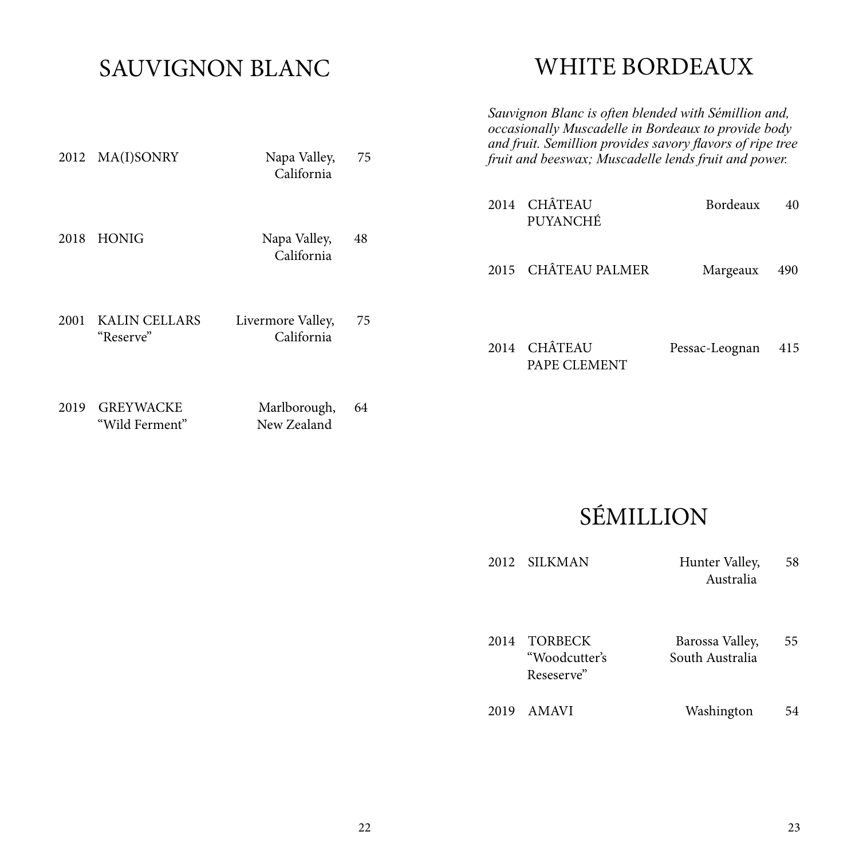### SAUVIGNON BLANC

2012 MA(I)SONRY Napa Valley, 75

California

### WHITE BORDEAUX

*Sauvignon Blanc is often blended with Sémillion and, occasionally Muscadelle in Bordeaux to provide body and fruit. Semillion provides savory flavors of ripe tree fruit and beeswax; Muscadelle lends fruit and power.*

|      |                                    |                                 | 2014 |      | CHÂTEAU<br>PUYANCHÉ            | Bordeaux       | 40  |
|------|------------------------------------|---------------------------------|------|------|--------------------------------|----------------|-----|
| 2018 | <b>HONIG</b>                       | Napa Valley,<br>California      | 48   | 2015 | <b>CHÂTEAU PALMER</b>          | Margeaux       | 490 |
| 2001 | <b>KALIN CELLARS</b><br>"Reserve"  | Livermore Valley,<br>California | 75   | 2014 | <b>CHÂTEAU</b><br>PAPE CLEMENT | Pessac-Leognan | 415 |
| 2019 | <b>GREYWACKE</b><br>"Wild Ferment" | Marlborough,<br>New Zealand     | 64   |      |                                |                |     |

## SÉMILLION

| 2012 | SILKMAN                                       | Hunter Valley,<br>Australia        | 58 |
|------|-----------------------------------------------|------------------------------------|----|
| 2014 | <b>TORBECK</b><br>"Woodcutter's<br>Reseserve" | Barossa Valley,<br>South Australia | 55 |
| 2019 | AMAVI                                         | Washington                         | 54 |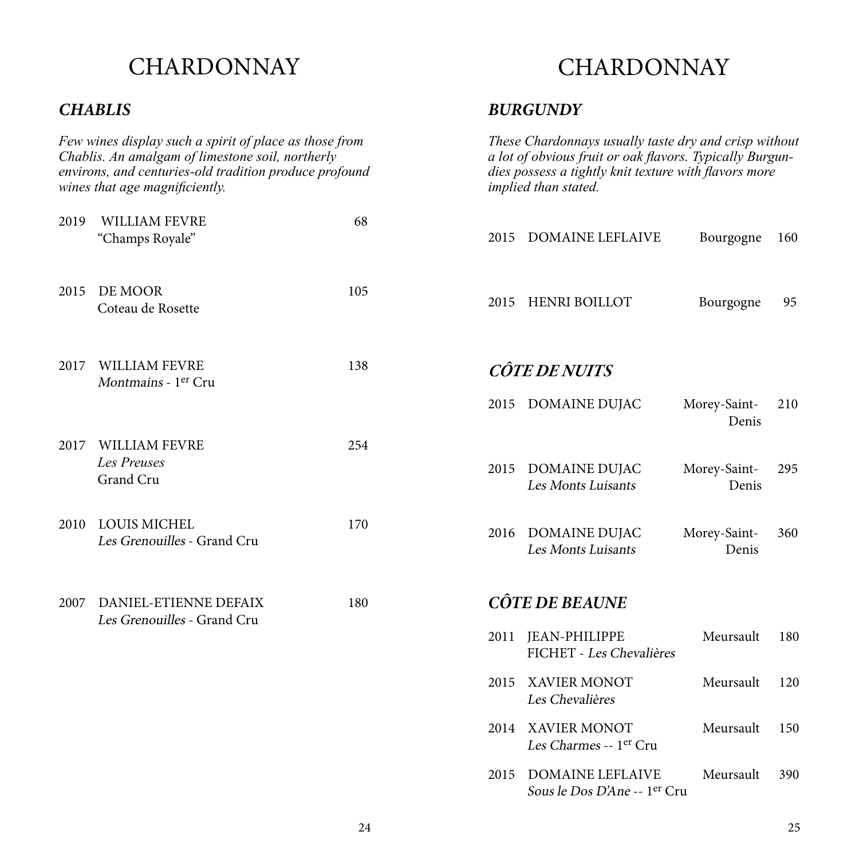#### *CHABLIS*

*Few wines display such a spirit of place as those from Chablis. An amalgam of limestone soil, northerly environs, and centuries-old tradition produce profound wines that age magnificiently.* 2015 DE MOOR 105 Coteau de Rosette 2017 WILLIAM FEVRE 138 Montmains - 1<sup>er</sup> Cru 2017 WILLIAM FEVRE 254 *Les Preuses* Grand Cru 2019 WILLIAM FEVRE 68 "Champs Royale" 2010 LOUIS MICHEL 170 Les Grenouilles - Grand Cru

2007 DANIEL-ETIENNE DEFAIX 180 Les Grenouilles - Grand Cru

### CHARDONNAY

#### *BURGUNDY*

*These Chardonnays usually taste dry and crisp without a lot of obvious fruit or oak flavors. Typically Burgundies possess a tightly knit texture with flavors more implied than stated.* 

| 2015 | <b>DOMAINE LEFLAIVE</b>                          | Bourgogne             | 160 |
|------|--------------------------------------------------|-----------------------|-----|
|      | 2015 HENRI BOILLOT                               | Bourgogne             | 95  |
|      | <i><b>CÔTE DE NUITS</b></i>                      |                       |     |
| 2015 | <b>DOMAINE DUJAC</b>                             | Morey-Saint-<br>Denis | 210 |
| 2015 | DOMAINE DUJAC<br>Les Monts Luisants              | Morey-Saint-<br>Denis | 295 |
| 2016 | DOMAINE DUJAC<br>Les Monts Luisants              | Morey-Saint-<br>Denis | 360 |
|      | <b>CÔTE DE BEAUNE</b>                            |                       |     |
| 2011 | <b>JEAN-PHILIPPE</b><br>FICHET - Les Chevalières | Meursault             | 180 |
| 2015 | <b>XAVIER MONOT</b><br>Les Chevalières           | Meursault             | 120 |
| 2014 | XAVIER MONOT<br>Les Charmes -- 1er Cru           | Meursault             | 150 |
| 2015 | <b>DOMAINE LEFLAIVE</b>                          | Meursault             | 390 |

Sous le Dos D'Ane -- 1er Cru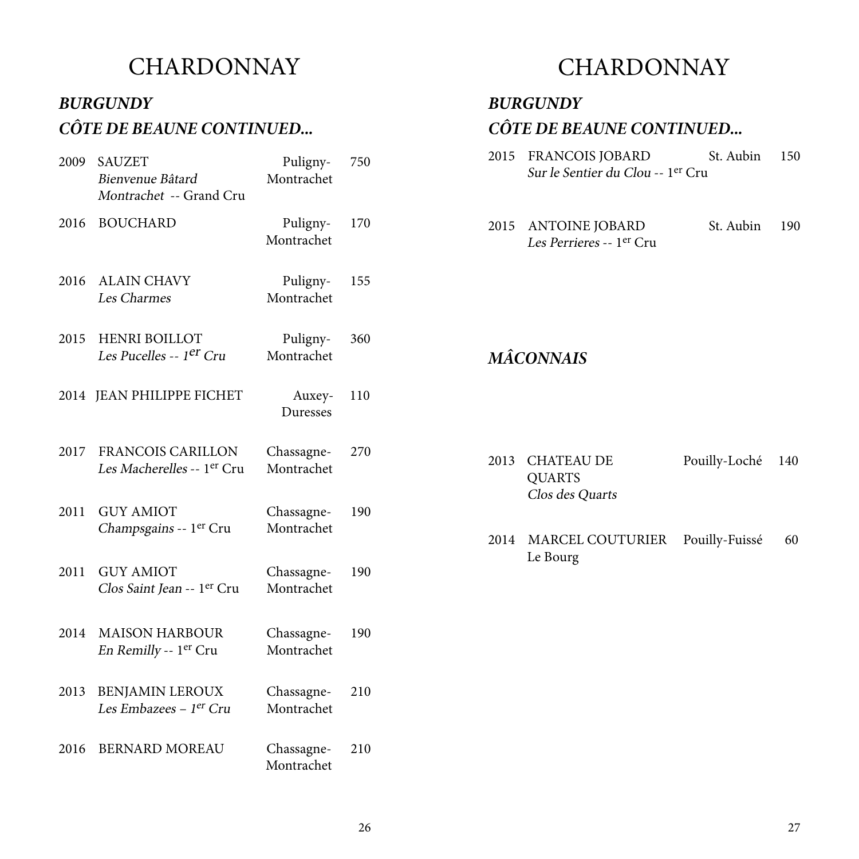#### *BURGUNDY CÔTE DE BEAUNE CONTINUED...*

| 2009 | <b>SAUZET</b><br>Bienvenue Bâtard<br>Montrachet -- Grand Cru | Puligny-<br>Montrachet   | 750 |
|------|--------------------------------------------------------------|--------------------------|-----|
| 2016 | <b>BOUCHARD</b>                                              | Puligny-<br>Montrachet   | 170 |
| 2016 | <b>ALAIN CHAVY</b><br>Les Charmes                            | Puligny-<br>Montrachet   | 155 |
| 2015 | <b>HENRI BOILLOT</b><br>Les Pucelles -- 1 <sup>er</sup> Cru  | Puligny-<br>Montrachet   | 360 |
|      | 2014 JEAN PHILIPPE FICHET                                    | Auxey-<br>Duresses       | 110 |
| 2017 | FRANCOIS CARILLON<br>Les Macherelles -- 1er Cru              | Chassagne-<br>Montrachet | 270 |
| 2011 | <b>GUY AMIOT</b><br>Champsgains -- 1er Cru                   | Chassagne-<br>Montrachet | 190 |
| 2011 | <b>GUY AMIOT</b><br>Clos Saint Jean -- 1er Cru               | Chassagne-<br>Montrachet | 190 |
| 2014 | <b>MAISON HARBOUR</b><br>En Remilly -- 1er Cru               | Chassagne-<br>Montrachet | 190 |
| 2013 | <b>BENJAMIN LEROUX</b><br>Les Embazees - 1er Cru             | Chassagne-<br>Montrachet | 210 |
| 2016 | <b>BERNARD MOREAU</b>                                        | Chassagne-<br>Montrachet | 210 |

#### CHARDONNAY

*BURGUNDY*

#### *CÔTE DE BEAUNE CONTINUED...*

- 2015 FRANCOIS JOBARD St. Aubin 150 Sur le Sentier du Clou -- 1er Cru
- 2015 ANTOINE JOBARD St. Aubin 190 Les Perrieres -- 1er Cru

#### *MÂCONNAIS*

- 2013 CHATEAU DE Pouilly-Loché 140 QUARTS Clos des Quarts
- 2014 MARCEL COUTURIER Pouilly-Fuissé 60 Le Bourg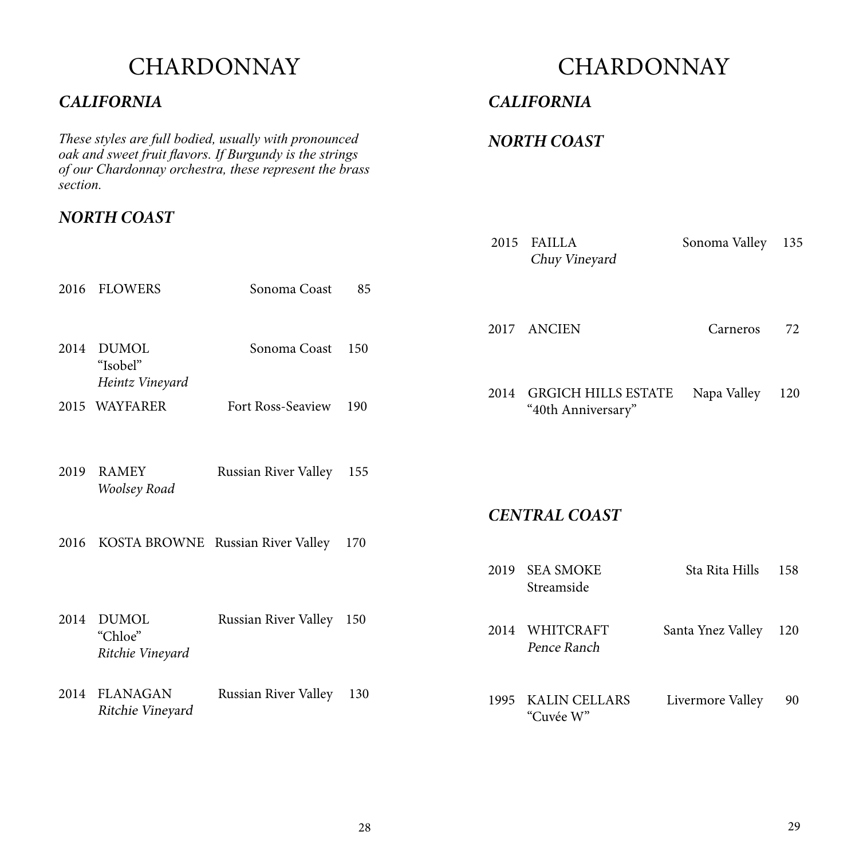#### *CALIFORNIA*

*These styles are full bodied, usually with pronounced oak and sweet fruit flavors. If Burgundy is the strings of our Chardonnay orchestra, these represent the brass section.*

#### *NORTH COAST*

### **CHARDONNAY**

#### *CALIFORNIA*

#### *NORTH COAST*

|      |                                             |                                   |     | 2015 | <b>FAILLA</b><br>Chuy Vineyard                   | Sonoma Valley     | 135 |
|------|---------------------------------------------|-----------------------------------|-----|------|--------------------------------------------------|-------------------|-----|
|      | 2016 FLOWERS                                | Sonoma Coast                      | 85  |      |                                                  |                   |     |
| 2014 | <b>DUMOL</b><br>"Isobel"                    | Sonoma Coast                      | 150 | 2017 | <b>ANCIEN</b>                                    | Carneros          | 72  |
|      | Heintz Vineyard<br>2015 WAYFARER            | Fort Ross-Seaview                 | 190 | 2014 | <b>GRGICH HILLS ESTATE</b><br>"40th Anniversary" | Napa Valley       | 120 |
| 2019 | <b>RAMEY</b><br>Woolsey Road                | Russian River Valley              | 155 |      | <b>CENTRAL COAST</b>                             |                   |     |
| 2016 |                                             | KOSTA BROWNE Russian River Valley | 170 |      |                                                  |                   |     |
|      |                                             |                                   |     | 2019 | <b>SEA SMOKE</b><br>Streamside                   | Sta Rita Hills    | 158 |
| 2014 | <b>DUMOL</b><br>"Chloe"<br>Ritchie Vineyard | Russian River Valley 150          |     | 2014 | WHITCRAFT<br>Pence Ranch                         | Santa Ynez Valley | 120 |
| 2014 | <b>FLANAGAN</b><br>Ritchie Vineyard         | Russian River Valley 130          |     | 1995 | <b>KALIN CELLARS</b><br>"Cuvée W"                | Livermore Valley  | 90  |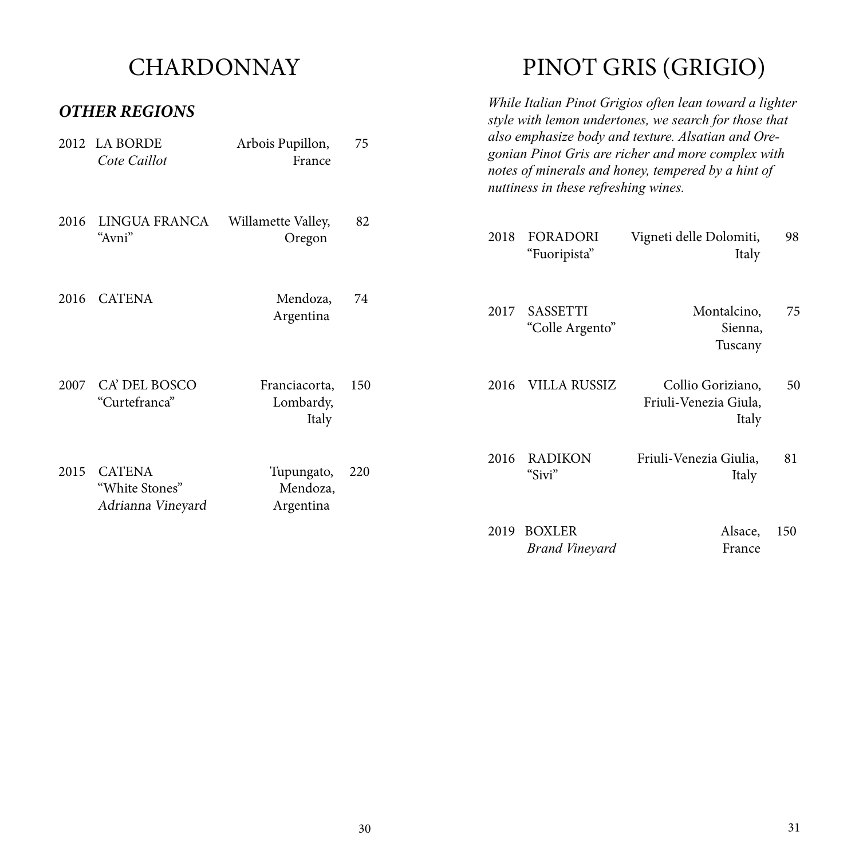#### *OTHER REGIONS*

# PINOT GRIS (GRIGIO)

*While Italian Pinot Grigios often lean toward a lighter* 

|      | UTIILIA KLUIUI VJ                                    |                                     |     |      |                                        | style with lemon undertones, we search for those that                                                                                                          |     |
|------|------------------------------------------------------|-------------------------------------|-----|------|----------------------------------------|----------------------------------------------------------------------------------------------------------------------------------------------------------------|-----|
| 2012 | <b>LA BORDE</b><br>Cote Caillot                      | Arbois Pupillon,<br>France          | 75  |      | nuttiness in these refreshing wines.   | also emphasize body and texture. Alsatian and Ore-<br>gonian Pinot Gris are richer and more complex with<br>notes of minerals and honey, tempered by a hint of |     |
| 2016 | LINGUA FRANCA<br>"Avni"                              | Willamette Valley,<br>Oregon        | 82  | 2018 | <b>FORADORI</b><br>"Fuoripista"        | Vigneti delle Dolomiti,<br>Italy                                                                                                                               | 98  |
| 2016 | <b>CATENA</b>                                        | Mendoza,<br>Argentina               | 74  | 2017 | <b>SASSETTI</b><br>"Colle Argento"     | Montalcino,<br>Sienna,<br>Tuscany                                                                                                                              | 75  |
| 2007 | CA' DEL BOSCO<br>"Curtefranca"                       | Franciacorta,<br>Lombardy,<br>Italy | 150 | 2016 | <b>VILLA RUSSIZ</b>                    | Collio Goriziano,<br>Friuli-Venezia Giula,<br>Italy                                                                                                            | 50  |
| 2015 | <b>CATENA</b><br>"White Stones"<br>Adrianna Vineyard | Tupungato,<br>Mendoza,<br>Argentina | 220 | 2016 | <b>RADIKON</b><br>"Sivi"               | Friuli-Venezia Giulia,<br>Italy                                                                                                                                | 81  |
|      |                                                      |                                     |     | 2019 | <b>BOXLER</b><br><b>Brand Vineyard</b> | Alsace,<br>France                                                                                                                                              | 150 |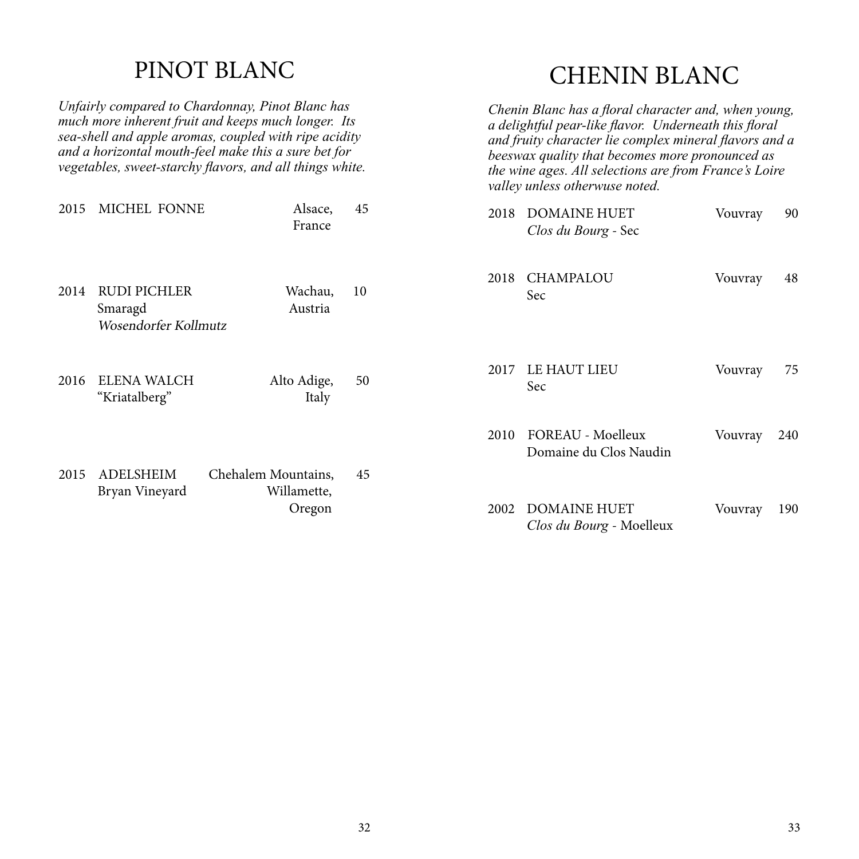#### PINOT BLANC

*Unfairly compared to Chardonnay, Pinot Blanc has much more inherent fruit and keeps much longer. Its sea-shell and apple aromas, coupled with ripe acidity and a horizontal mouth-feel make this a sure bet for vegetables, sweet-starchy flavors, and all things white.*

# 2015 MICHEL FONNE Alsace, 45 France 2014 RUDI PICHLER Wachau, 10 Smaragd Austria Wosendorfer Kollmutz 2016 ELENA WALCH Alto Adige, 50 "Kriatalberg" Italy 2015 ADELSHEIM Chehalem Mountains, 45<br>Bryan Vinevard Willamette, Bryan Vineyard Oregon

# CHENIN BLANC

| Chenin Blanc has a floral character and, when young,<br>a delightful pear-like flavor. Underneath this floral<br>and fruity character lie complex mineral flavors and a<br>beeswax quality that becomes more pronounced as<br>the wine ages. All selections are from France's Loire<br>valley unless otherwuse noted. |                                                    |         |     |  |  |  |  |
|-----------------------------------------------------------------------------------------------------------------------------------------------------------------------------------------------------------------------------------------------------------------------------------------------------------------------|----------------------------------------------------|---------|-----|--|--|--|--|
| 2018                                                                                                                                                                                                                                                                                                                  | <b>DOMAINE HUET</b><br>Clos du Bourg - Sec         | Vouvray | 90  |  |  |  |  |
| 2018                                                                                                                                                                                                                                                                                                                  | <b>CHAMPALOU</b><br>Sec                            | Vouvray | 48  |  |  |  |  |
| 2017                                                                                                                                                                                                                                                                                                                  | <b>LE HAUT LIEU</b><br>Sec                         | Vouvray | 75  |  |  |  |  |
| 2010                                                                                                                                                                                                                                                                                                                  | <b>FOREAU - Moelleux</b><br>Domaine du Clos Naudin | Vouvray | 240 |  |  |  |  |
| 2002                                                                                                                                                                                                                                                                                                                  | <b>DOMAINE HUET</b><br>Clos du Bourg - Moelleux    | Vouvray | 190 |  |  |  |  |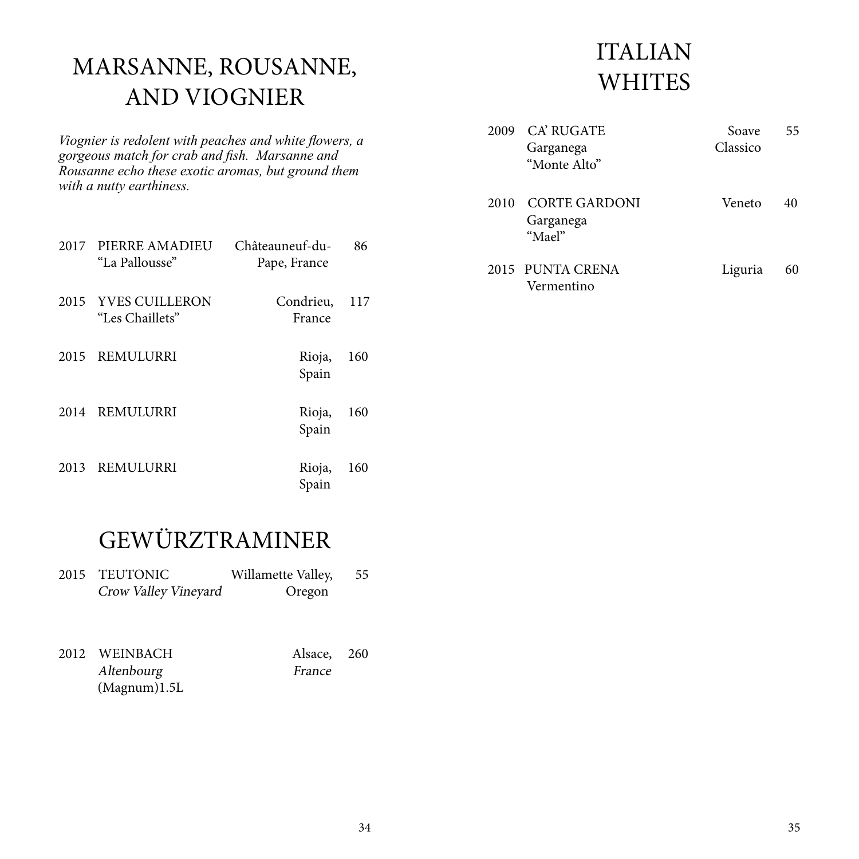# MARSANNE, ROUSANNE, AND VIOGNIER

*Viognier is redolent with peaches and white flowers, a gorgeous match for crab and fish. Marsanne and Rousanne echo these exotic aromas, but ground them with a nutty earthiness.*

|      | 2017 PIERRE AMADIEU<br>"La Pallousse"  | Châteauneuf-du-<br>Pape, France | 86  |
|------|----------------------------------------|---------------------------------|-----|
|      | 2015 YVES CUILLERON<br>"Les Chaillets" | Condrieu,<br>France             | 117 |
|      | 2015 REMULURRI                         | Rioja,<br>Spain                 | 160 |
| 2014 | REMULURRI                              | Rioja,<br>Spain                 | 160 |
|      | 2013 REMULURRI                         | Rioja,<br>Spain                 | 160 |

# ITALIAN **WHITES**

| 2009 | <b>CA' RUGATE</b><br>Garganega<br>"Monte Alto" | Soave<br>Classico | 55 |
|------|------------------------------------------------|-------------------|----|
| 2010 | CORTE GARDONI<br>Garganega<br>"Mael"           | Veneto            | 40 |
|      | 2015 PUNTA CRENA<br>Vermentino                 | Liguria           | 60 |

# GEWÜRZTRAMINER

| 2015 TEUTONIC        | Willamette Valley, | 55 |
|----------------------|--------------------|----|
| Crow Valley Vineyard | Oregon             |    |

2012 WEINBACH Alsace, 260<br>Altenbourg France Altenbourg (Magnum)1.5L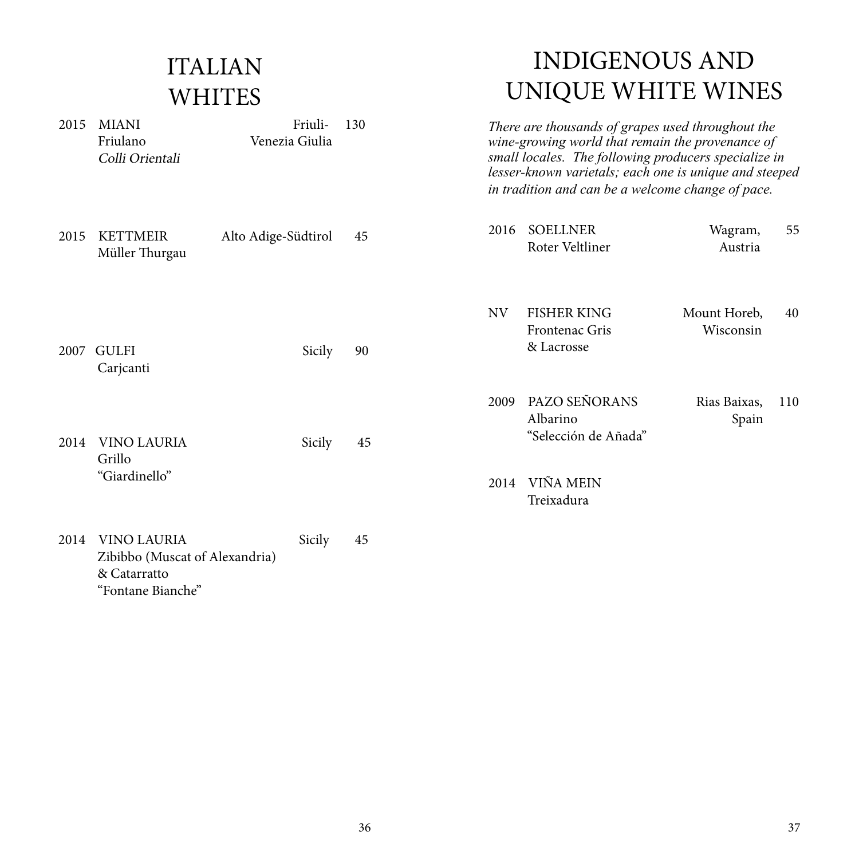# ITALIAN **WHITES**

2015 MIANI Friuli- 130 Friulano Venezia Giulia

Colli Orientali

# INDIGENOUS AND UNIQUE WHITE WINES

*There are thousands of grapes used throughout the wine-growing world that remain the provenance of small locales. The following producers specialize in lesser-known varietals; each one is unique and steeped in tradition and can be a welcome change of pace.* 

| 2015 | <b>KETTMEIR</b><br>Müller Thurgau                    | Alto Adige-Südtirol | 45 | 2016         | <b>SOELLNER</b><br>Roter Veltliner                             | Wagram,<br>Austria        | 55  |
|------|------------------------------------------------------|---------------------|----|--------------|----------------------------------------------------------------|---------------------------|-----|
| 2007 | <b>GULFI</b><br>Carjcanti                            | Sicily              | 90 | <b>NV</b>    | <b>FISHER KING</b><br>Frontenac Gris<br>& Lacrosse             | Mount Horeb,<br>Wisconsin | 40  |
| 2014 | <b>VINO LAURIA</b><br>Grillo<br>"Giardinello"        | Sicily              | 45 | 2009<br>2014 | PAZO SEÑORANS<br>Albarino<br>"Selección de Añada"<br>VIÑA MEIN | Rias Baixas,<br>Spain     | 110 |
| 2014 | <b>VINO LAURIA</b><br>Zibibbo (Muscat of Alexandria) | Sicily              | 45 |              | Treixadura                                                     |                           |     |

& Catarratto "Fontane Bianche"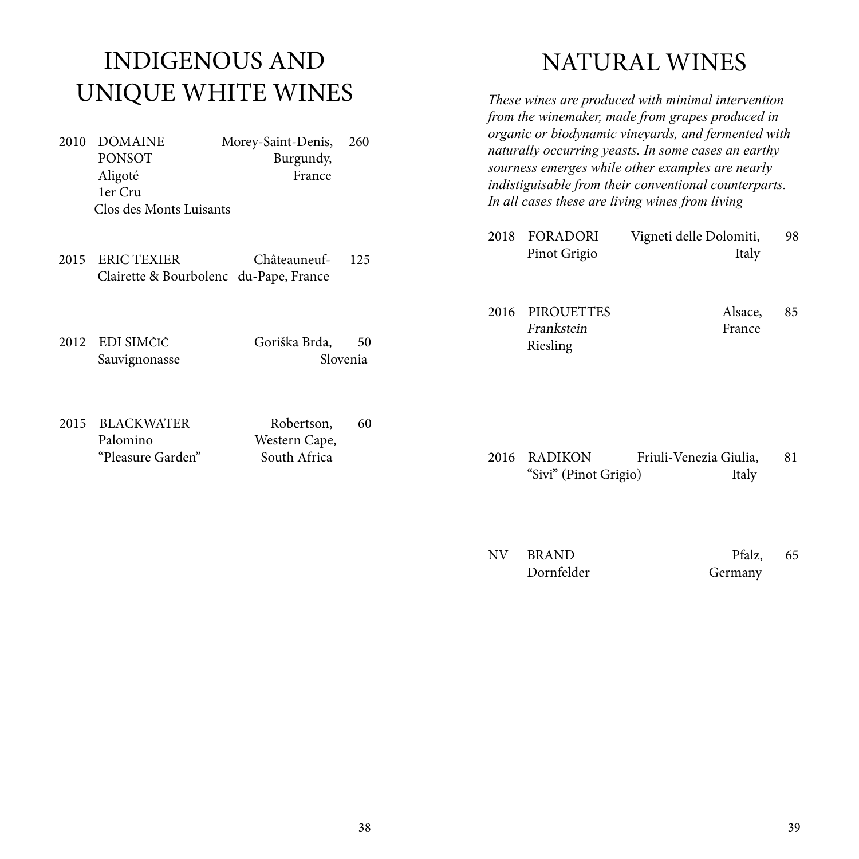# INDIGENOUS AND UNIQUE WHITE WINES

- 2010 DOMAINE Morey-Saint-Denis, 260 PONSOT Burgundy, Aligoté France 1er Cru Clos des Monts Luisants
- 2015 ERIC TEXIER Châteauneuf- 125 Clairette & Bourbolenc du-Pape, France
- 2012 EDI SIMČIČ Goriška Brda, 50 Sauvignonasse Slovenia
- 2015 BLACKWATER Robertson, 60 Palomino Western Cape, "Pleasure Garden" South Africa

### NATURAL WINES

*These wines are produced with minimal intervention from the winemaker, made from grapes produced in organic or biodynamic vineyards, and fermented with naturally occurring yeasts. In some cases an earthy sourness emerges while other examples are nearly indistiguisable from their conventional counterparts. In all cases these are living wines from living* 

- 2018 FORADORI Vigneti delle Dolomiti, 98 Pinot Grigio Italy
- 2016 PIROUETTES Alsace, 85 Frankstein France Riesling

- 2016 RADIKON Friuli-Venezia Giulia, 81 "Sivi" (Pinot Grigio) Italy
- NV BRAND Pfalz, 65 Dornfelder Germany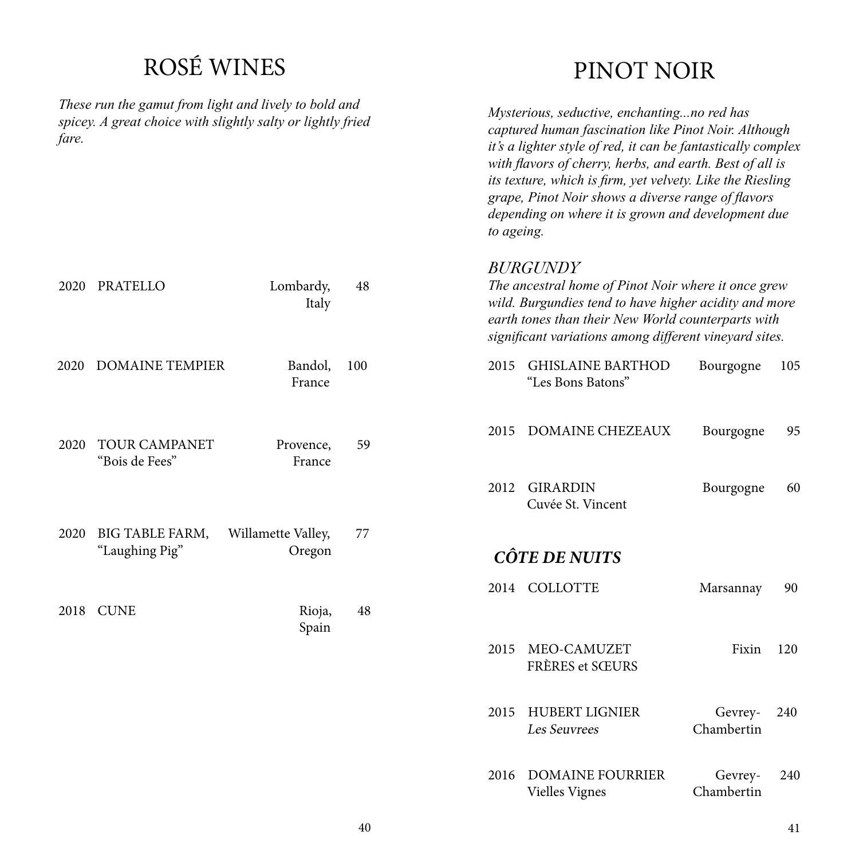# ROSÉ WINES

*These run the gamut from light and lively to bold and*  spicey. A great choice with si *fare.*

### PINOT NOIR

| These run ine gamui from light and tively to bold and<br>spicey. A great choice with slightly salty or lightly fried<br>fare. |                                          |                              |     | Mysterious, seductive, enchantingno red has<br>captured human fascination like Pinot Noir. Although<br>it's a lighter style of red, it can be fantastically complex<br>with flavors of cherry, herbs, and earth. Best of all is<br>its texture, which is firm, yet velvety. Like the Riesling<br>grape, Pinot Noir shows a diverse range of flavors<br>depending on where it is grown and development due<br>to ageing. |                                                                                                                                                                                                                              |                       |     |
|-------------------------------------------------------------------------------------------------------------------------------|------------------------------------------|------------------------------|-----|-------------------------------------------------------------------------------------------------------------------------------------------------------------------------------------------------------------------------------------------------------------------------------------------------------------------------------------------------------------------------------------------------------------------------|------------------------------------------------------------------------------------------------------------------------------------------------------------------------------------------------------------------------------|-----------------------|-----|
| 2020                                                                                                                          | <b>PRATELLO</b>                          | Lombardy,<br>Italy           | 48  | <b>BURGUNDY</b>                                                                                                                                                                                                                                                                                                                                                                                                         | The ancestral home of Pinot Noir where it once grew<br>wild. Burgundies tend to have higher acidity and more<br>earth tones than their New World counterparts with<br>significant variations among different vineyard sites. |                       |     |
| 2020                                                                                                                          | <b>DOMAINE TEMPIER</b>                   | Bandol,<br>France            | 100 | 2015                                                                                                                                                                                                                                                                                                                                                                                                                    | <b>GHISLAINE BARTHOD</b><br>"Les Bons Batons"                                                                                                                                                                                | Bourgogne             | 105 |
| 2020                                                                                                                          | <b>TOUR CAMPANET</b><br>"Bois de Fees"   | Provence,<br>France          | 59  | 2015                                                                                                                                                                                                                                                                                                                                                                                                                    | <b>DOMAINE CHEZEAUX</b>                                                                                                                                                                                                      | Bourgogne             | 95  |
|                                                                                                                               |                                          |                              |     | 2012                                                                                                                                                                                                                                                                                                                                                                                                                    | <b>GIRARDIN</b><br>Cuvée St. Vincent                                                                                                                                                                                         | Bourgogne             | 60  |
| 2020                                                                                                                          | <b>BIG TABLE FARM,</b><br>"Laughing Pig" | Willamette Valley,<br>Oregon | 77  |                                                                                                                                                                                                                                                                                                                                                                                                                         | <b>CÔTE DE NUITS</b>                                                                                                                                                                                                         |                       |     |
|                                                                                                                               | 2018 CUNE                                | Rioja,<br>Spain              | 48  | 2014 COLLOTTE                                                                                                                                                                                                                                                                                                                                                                                                           |                                                                                                                                                                                                                              | Marsannay             | 90  |
|                                                                                                                               |                                          |                              |     | 2015                                                                                                                                                                                                                                                                                                                                                                                                                    | MEO-CAMUZET<br><b>FRÈRES et SŒURS</b>                                                                                                                                                                                        | Fixin                 | 120 |
|                                                                                                                               |                                          |                              |     | 2015                                                                                                                                                                                                                                                                                                                                                                                                                    | <b>HUBERT LIGNIER</b><br>Les Seuvrees                                                                                                                                                                                        | Gevrey-<br>Chambertin | 240 |
|                                                                                                                               |                                          |                              |     | 2016                                                                                                                                                                                                                                                                                                                                                                                                                    | <b>DOMAINE FOURRIER</b><br>Vielles Vignes                                                                                                                                                                                    | Gevrey-<br>Chambertin | 240 |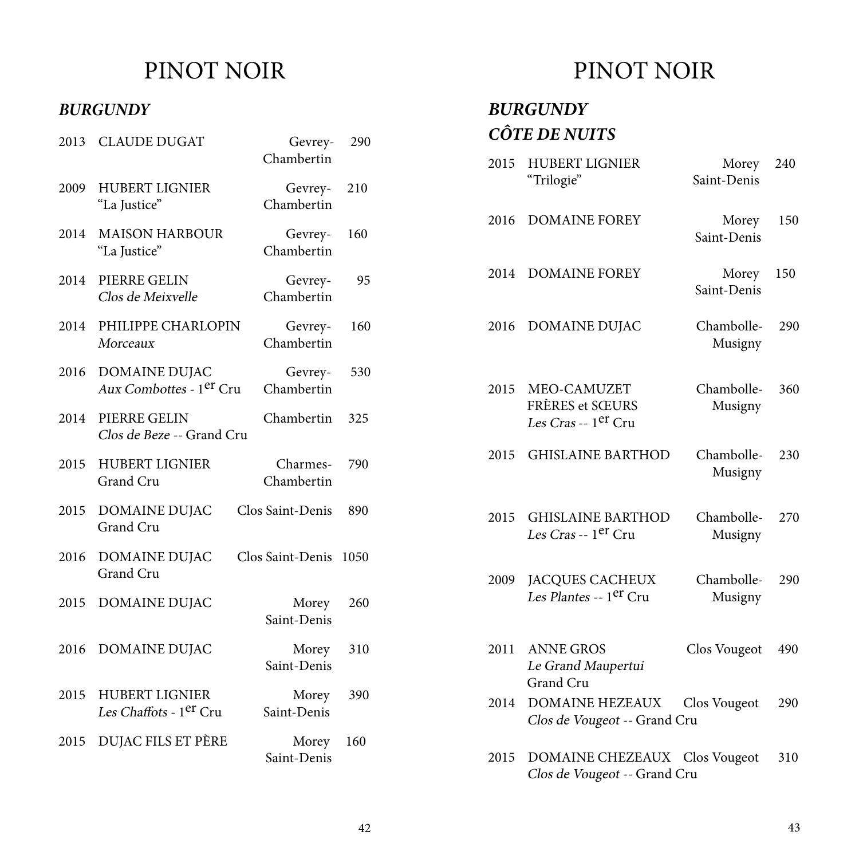#### *BURGUNDY*

| 2013 | <b>CLAUDE DUGAT</b>                                         | Gevrey-<br>Chambertin     | 290  |
|------|-------------------------------------------------------------|---------------------------|------|
| 2009 | <b>HUBERT LIGNIER</b><br>"La Justice"                       | Gevrey- 210<br>Chambertin |      |
| 2014 | <b>MAISON HARBOUR</b><br>"La Justice"                       | Gevrey-<br>Chambertin     | 160  |
| 2014 | PIERRE GELIN<br>Clos de Meixvelle                           | Gevrey-<br>Chambertin     | 95   |
| 2014 | PHILIPPE CHARLOPIN<br>Morceaux                              | Gevrey-<br>Chambertin     | 160  |
| 2016 | DOMAINE DUJAC<br>Aux Combottes - 1 <sup>er</sup> Cru        | Gevrey-<br>Chambertin     | 530  |
| 2014 | PIERRE GELIN<br>Clos de Beze -- Grand Cru                   | Chambertin                | 325  |
| 2015 | <b>HUBERT LIGNIER</b><br>Grand Cru                          | Charmes-<br>Chambertin    | 790  |
| 2015 | <b>DOMAINE DUJAC</b><br><b>Grand Cru</b>                    | Clos Saint-Denis          | 890  |
| 2016 | DOMAINE DUJAC<br><b>Grand Cru</b>                           | Clos Saint-Denis          | 1050 |
| 2015 | <b>DOMAINE DUJAC</b>                                        | Morey<br>Saint-Denis      | 260  |
| 2016 | DOMAINE DUJAC                                               | Morey<br>Saint-Denis      | 310  |
| 2015 | <b>HUBERT LIGNIER</b><br>Les Chaffots - 1 <sup>er</sup> Cru | Morey<br>Saint-Denis      | 390  |
| 2015 | DUJAC FILS ET PÈRE                                          | Morey<br>Saint-Denis      | 160  |

# PINOT NOIR

#### *BURGUNDY CÔTE DE NUITS*

| 2015 | <b>HUBERT LIGNIER</b><br>"Trilogie"                                      | Morey<br>Saint-Denis  | 240 |
|------|--------------------------------------------------------------------------|-----------------------|-----|
| 2016 | <b>DOMAINE FOREY</b>                                                     | Morey<br>Saint-Denis  | 150 |
| 2014 | <b>DOMAINE FOREY</b>                                                     | Morey<br>Saint-Denis  | 150 |
| 2016 | <b>DOMAINE DUJAC</b>                                                     | Chambolle-<br>Musigny | 290 |
| 2015 | MEO-CAMUZET<br><b>FRÈRES et SŒURS</b><br>Les Cras -- 1 <sup>er</sup> Cru | Chambolle-<br>Musigny | 360 |
| 2015 | <b>GHISLAINE BARTHOD</b>                                                 | Chambolle-<br>Musigny | 230 |
| 2015 | <b>GHISLAINE BARTHOD</b><br>Les Cras -- 1 <sup>er</sup> Cru              | Chambolle-<br>Musigny | 270 |
| 2009 | <b>JACQUES CACHEUX</b><br>Les Plantes -- 1 <sup>er</sup> Cru             | Chambolle-<br>Musigny | 290 |
| 2011 | <b>ANNE GROS</b><br>Le Grand Maupertui<br>Grand Cru                      | Clos Vougeot          | 490 |
| 2014 | DOMAINE HEZEAUX<br>Clos de Vougeot -- Grand Cru                          | Clos Vougeot          | 290 |
| 2015 | DOMAINE CHEZEAUX Clos Vougeot<br>Clos de Vougeot -- Grand Cru            |                       | 310 |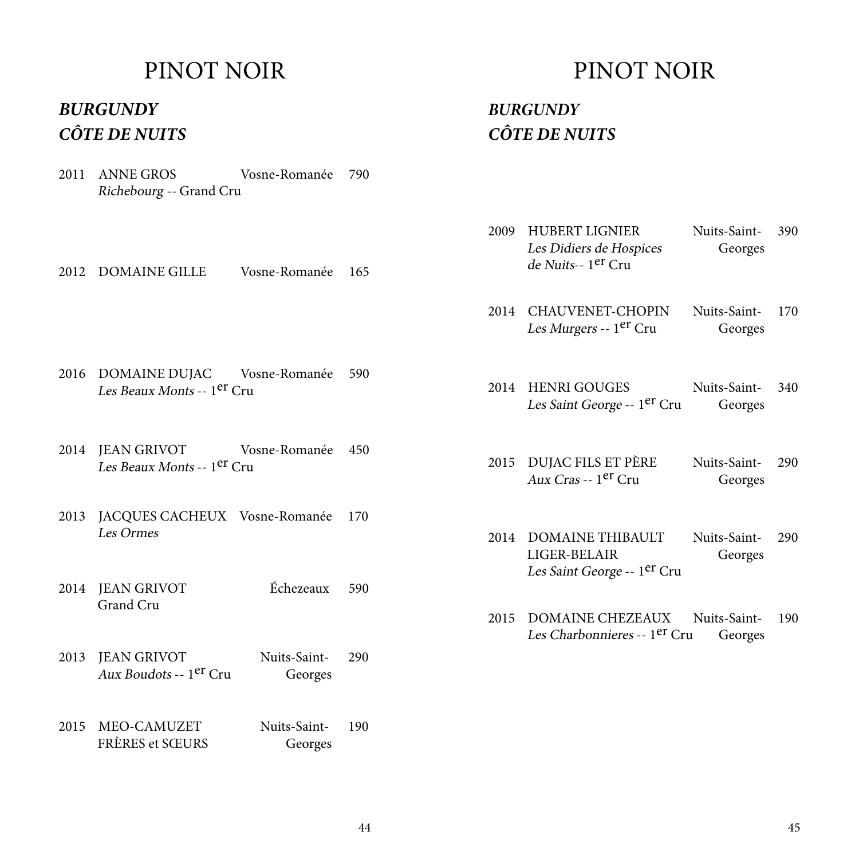#### *BURGUNDY CÔTE DE NUITS*

2011 ANNE GROS Vosne-Romanée 790 Richebourg -- Grand Cru

2012 DOMAINE GILLE Vosne-Romanée 165

- 2016 DOMAINE DUJAC Vosne-Romanée 590 Les Beaux Monts -- 1<sup>er</sup> Cru
- 2014 JEAN GRIVOT Vosne-Romanée 450 Les Beaux Monts -- 1er Cru
- 2013 JACQUES CACHEUX Vosne-Romanée 170 Les Ormes
- 2014 JEAN GRIVOT Échezeaux 590 Grand Cru
- 2013 JEAN GRIVOT Nuits-Saint- 290 Aux Boudots -- 1er Cru Georges
- 2015 MEO-CAMUZET Nuits-Saint- 190 FRÈRES et SŒURS Georges

#### PINOT NOIR

#### *BURGUNDY CÔTE DE NUITS*

- 2009 HUBERT LIGNIER Nuits-Saint- 390 Les Didiers de Hospices Georges de Nuits-- 1er Cru
- 2014 CHAUVENET-CHOPIN Nuits-Saint- 170 Les Murgers -- 1<sup>er</sup> Cru Georges
- 2014 HENRI GOUGES Nuits-Saint- 340 Les Saint George -- 1<sup>er</sup> Cru Georges
- 2015 DUJAC FILS ET PÈRE Nuits-Saint- 290 Aux Cras -- 1er Cru Georges
- 2014 DOMAINE THIBAULT Nuits-Saint- 290 LIGER-BELAIR Georges Les Saint George -- 1er Cru
- 2015 DOMAINE CHEZEAUX Nuits-Saint- 190 Les Charbonnieres -- 1<sup>er</sup> Cru Georges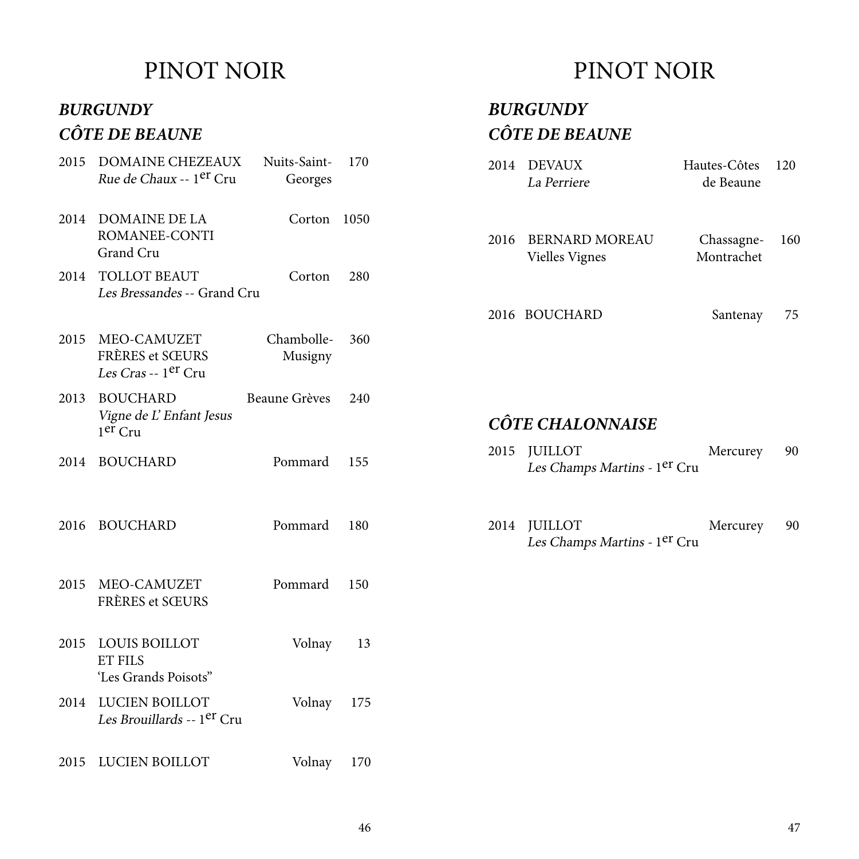#### *BURGUNDY*

#### *CÔTE DE BEAUNE*

|      | 2015 DOMAINE CHEZEAUX<br><i>Rue de Chaux -- 1<sup>er</sup> Cru</i>     | Nuits-Saint-<br>Georges | 170 |  |
|------|------------------------------------------------------------------------|-------------------------|-----|--|
|      | 2014 DOMAINE DE LA<br>ROMANEE-CONTI<br>Grand Cru                       | Corton 1050             |     |  |
|      | 2014 TOLLOT BEAUT<br>Les Bressandes -- Grand Cru                       | Corton                  | 280 |  |
|      | 2015 MEO-CAMUZET<br>FRÈRES et SŒURS<br>Les Cras -- 1 <sup>er</sup> Cru | Chambolle-<br>Musigny   | 360 |  |
|      | 2013 BOUCHARD<br>Vigne de L'Enfant Jesus<br>$1er$ Cru                  | Beaune Grèves           | 240 |  |
|      | 2014 BOUCHARD                                                          | Pommard                 | 155 |  |
|      | 2016 BOUCHARD                                                          | Pommard                 | 180 |  |
|      | 2015 MEO-CAMUZET<br>FRÈRES et SŒURS                                    | Pommard                 | 150 |  |
| 2015 | <b>LOUIS BOILLOT</b><br><b>ET FILS</b><br>'Les Grands Poisots"         | Volnay                  | 13  |  |
| 2014 | LUCIEN BOILLOT<br>Les Brouillards -- 1 <sup>er</sup> Cru               | Volnay                  | 175 |  |
| 2015 | LUCIEN BOILLOT                                                         | Volnay                  | 170 |  |

### PINOT NOIR

#### *CÔTE DE BEAUNE BURGUNDY*

| -Saint-<br>eorges     | 170         |      | 2014 DEVAUX<br>La Perriere                     | Hautes-Côtes<br>de Beaune | 120 |
|-----------------------|-------------|------|------------------------------------------------|---------------------------|-----|
| Corton<br>Corton      | 1050<br>280 | 2016 | <b>BERNARD MOREAU</b><br><b>Vielles Vignes</b> | Chassagne-<br>Montrachet  | 160 |
|                       |             |      | 2016 BOUCHARD                                  | Santenay                  | 75  |
| nbolle-<br>usigny     | 360         |      |                                                |                           |     |
| Grèves                | 240         |      | <b>CÔTE CHALONNAISE</b>                        |                           |     |
|                       |             |      |                                                |                           |     |
| ımard                 | 155         | 2015 | <b>JUILLOT</b><br>Les Champs Martins - 1er Cru | Mercurey                  | 90  |
| ımard                 | 180         | 2014 | <b>JUILLOT</b><br>Les Champs Martins - 1er Cru | Mercurey                  | 90  |
| ımard                 | 150         |      |                                                |                           |     |
| Volnay                | 13          |      |                                                |                           |     |
| $l_{\Omega}$ lnov 175 |             |      |                                                |                           |     |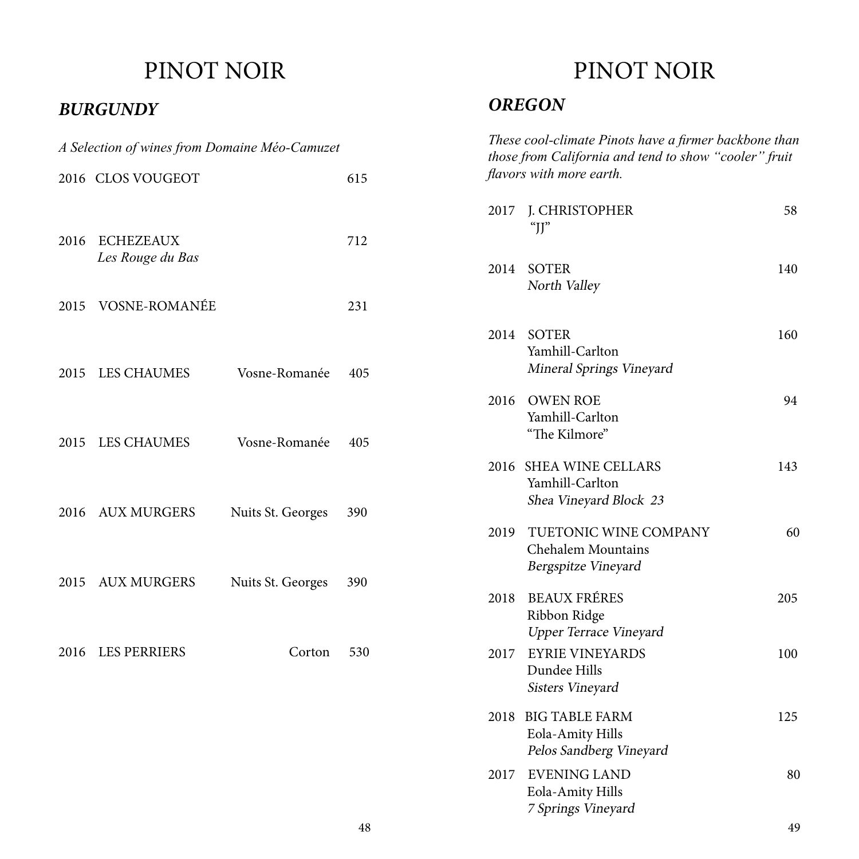#### *BURGUNDY*

| A Selection of wines from Domaine Méo-Camuzet |                                    |                   |     |  |  |
|-----------------------------------------------|------------------------------------|-------------------|-----|--|--|
|                                               | 2016 CLOS VOUGEOT                  |                   | 615 |  |  |
|                                               | 2016 ECHEZEAUX<br>Les Rouge du Bas |                   | 712 |  |  |
|                                               | 2015 VOSNE-ROMANÉE                 |                   | 231 |  |  |
|                                               | 2015 LES CHAUMES                   | Vosne-Romanée     | 405 |  |  |
|                                               | 2015 LES CHAUMES                   | Vosne-Romanée     | 405 |  |  |
|                                               | 2016 AUX MURGERS                   | Nuits St. Georges | 390 |  |  |
|                                               | 2015 AUX MURGERS                   | Nuits St. Georges | 390 |  |  |
|                                               | 2016 LES PERRIERS                  | Corton 530        |     |  |  |
|                                               |                                    |                   |     |  |  |

### PINOT NOIR

#### *OREGON*

|      | These cool-climate Pinots have a firmer backbone than<br>those from California and tend to show "cooler" fruit<br><i>flavors with more earth.</i> |     |
|------|---------------------------------------------------------------------------------------------------------------------------------------------------|-----|
|      | 2017 J. CHRISTOPHER<br>" $II$ "                                                                                                                   | 58  |
| 2014 | SOTER<br>North Valley                                                                                                                             | 140 |
|      | 2014 SOTER<br>Yamhill-Carlton<br>Mineral Springs Vineyard                                                                                         | 160 |
|      | 2016 OWEN ROE<br>Yamhill-Carlton<br>"The Kilmore"                                                                                                 | 94  |
| 2016 | <b>SHEA WINE CELLARS</b><br>Yamhill-Carlton<br>Shea Vineyard Block 23                                                                             | 143 |
| 2019 | TUETONIC WINE COMPANY<br><b>Chehalem Mountains</b><br>Bergspitze Vineyard                                                                         | 60  |
|      | 2018 BEAUX FRÉRES<br>Ribbon Ridge<br><b>Upper Terrace Vineyard</b>                                                                                | 205 |
| 2017 | <b>EYRIE VINEYARDS</b><br>Dundee Hills<br>Sisters Vineyard                                                                                        | 100 |
| 2018 | <b>BIG TABLE FARM</b><br>Eola-Amity Hills<br>Pelos Sandberg Vineyard                                                                              | 125 |
| 2017 | <b>EVENING LAND</b><br>Eola-Amity Hills<br>7 Springs Vineyard                                                                                     | 80  |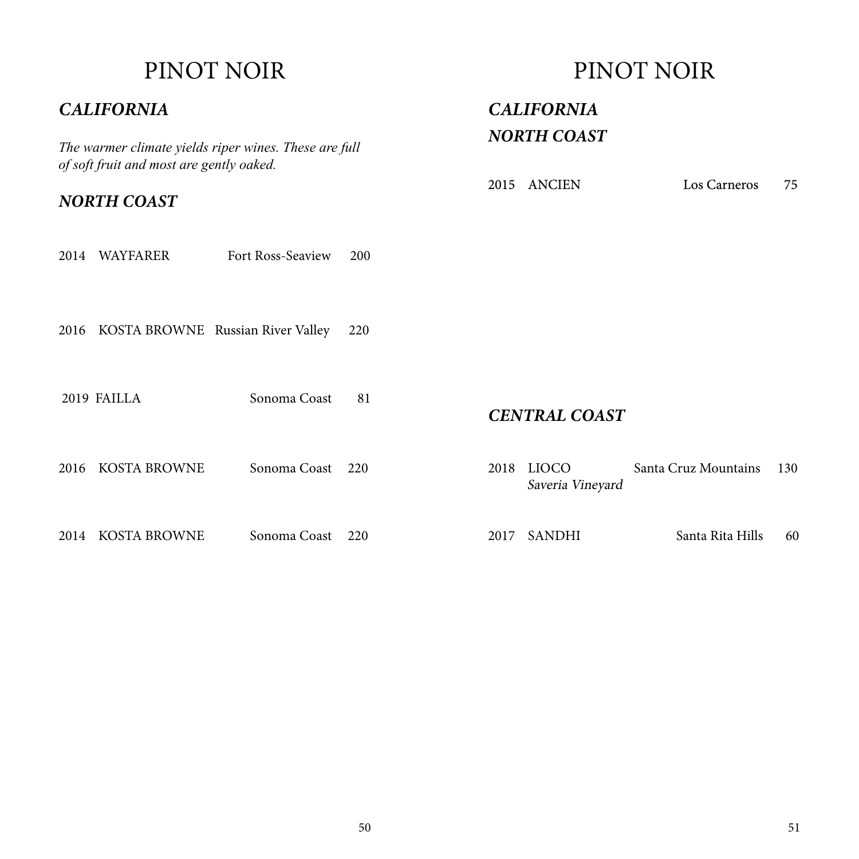#### *CALIFORNIA*

*The warmer climate yields riper wines. These are full of soft fruit and most are gently oaked.*

*NORTH COAST*

| 2014 WAYFARER<br>-200<br><b>Fort Ross-Seaview</b> |
|---------------------------------------------------|
|---------------------------------------------------|

2016 KOSTA BROWNE Russian River Valley 220

2019 FAILLA Sonoma Coast 81

PINOT NOIR

*CALIFORNIA NORTH COAST*

2015 ANCIEN Los Carneros 75

*CENTRAL COAST*

|                   | Sonoma Coast 220 |  | 2018 LIOCO<br>Saveria Vineyard | Santa Cruz Mountains | 130 |
|-------------------|------------------|--|--------------------------------|----------------------|-----|
| 2014 KOSTA BROWNE | Sonoma Coast 220 |  | 2017 SANDHI                    | Santa Rita Hills     | 60  |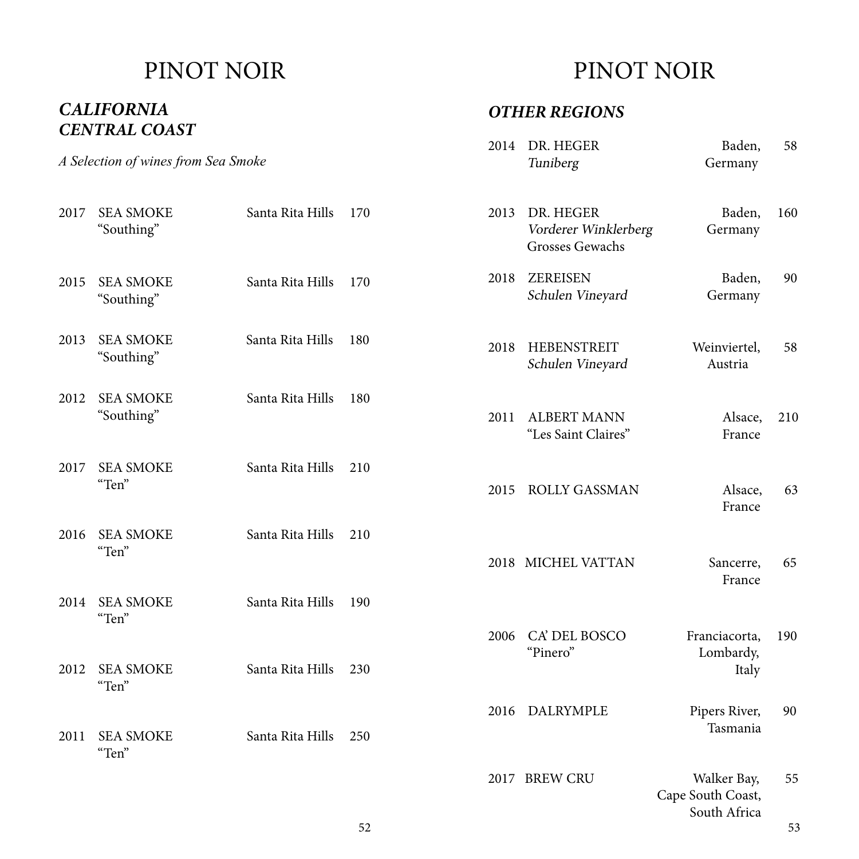#### *CENTRAL COAST CALIFORNIA*

### PINOT NOIR

#### *OTHER REGIONS*

|      | A Selection of wines from Sea Smoke |                  |     | 2014 | DR. HEGER<br>Tuniberg                                | Baden,<br>Germany                                | 58  |
|------|-------------------------------------|------------------|-----|------|------------------------------------------------------|--------------------------------------------------|-----|
| 2017 | <b>SEA SMOKE</b><br>"Southing"      | Santa Rita Hills | 170 | 2013 | DR. HEGER<br>Vorderer Winklerberg<br>Grosses Gewachs | Baden,<br>Germany                                | 160 |
| 2015 | <b>SEA SMOKE</b><br>"Southing"      | Santa Rita Hills | 170 | 2018 | <b>ZEREISEN</b><br>Schulen Vineyard                  | Baden,<br>Germany                                | 90  |
| 2013 | <b>SEA SMOKE</b><br>"Southing"      | Santa Rita Hills | 180 | 2018 | <b>HEBENSTREIT</b><br>Schulen Vineyard               | Weinviertel,<br>Austria                          | 58  |
| 2012 | <b>SEA SMOKE</b><br>"Southing"      | Santa Rita Hills | 180 | 2011 | <b>ALBERT MANN</b><br>"Les Saint Claires"            | Alsace,<br>France                                | 210 |
| 2017 | <b>SEA SMOKE</b><br>"Ten"           | Santa Rita Hills | 210 | 2015 | <b>ROLLY GASSMAN</b>                                 | Alsace,<br>France                                | 63  |
| 2016 | <b>SEA SMOKE</b><br>"Ten"           | Santa Rita Hills | 210 |      | 2018 MICHEL VATTAN                                   | Sancerre,<br>France                              | 65  |
| 2014 | <b>SEA SMOKE</b><br>"Ten"           | Santa Rita Hills | 190 |      |                                                      |                                                  |     |
| 2012 | <b>SEA SMOKE</b><br>"Ten"           | Santa Rita Hills | 230 | 2006 | CA' DEL BOSCO<br>"Pinero"                            | Franciacorta,<br>Lombardy,<br>Italy              | 190 |
| 2011 | <b>SEA SMOKE</b><br>"Ten"           | Santa Rita Hills | 250 | 2016 | DALRYMPLE                                            | Pipers River,<br>Tasmania                        | 90  |
|      |                                     |                  |     |      | 2017 BREW CRU                                        | Walker Bay,<br>Cape South Coast,<br>South Africa | 55  |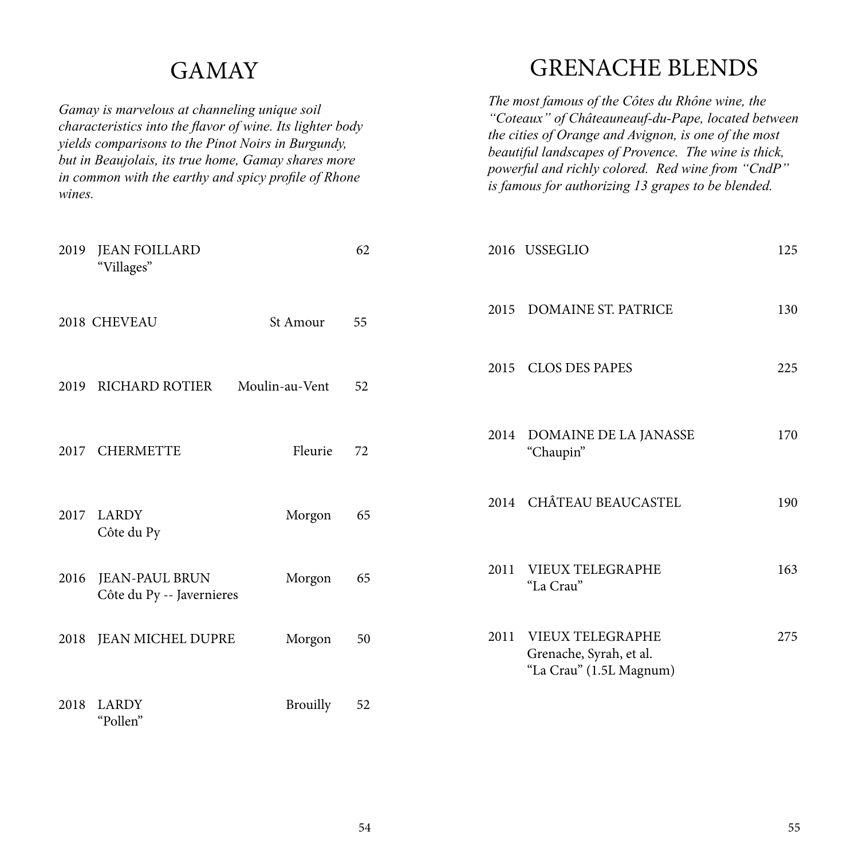### **GAMAY**

*Gamay is marvelous at channeling unique soil characteristics into the flavor of wine. Its lighter body yields comparisons to the Pinot Noirs in Burgundy, but in Beaujolais, its true home, Gamay shares more in common with the earthy and spicy profile of Rhone wines.* 

#### GRENACHE BLENDS

*The most famous of the Côtes du Rhône wine, the "Coteaux" of Châteauneauf-du-Pape, located between the cities of Orange and Avignon, is one of the most beautiful landscapes of Provence. The wine is thick, powerful and richly colored. Red wine from "CndP" is famous for authorizing 13 grapes to be blended.*

| 2019 | <b>JEAN FOILLARD</b><br>"Villages"                 |                 | 62 |      | 2016 USSEGLIO                                                                 | 125 |
|------|----------------------------------------------------|-----------------|----|------|-------------------------------------------------------------------------------|-----|
|      | 2018 CHEVEAU                                       | St Amour        | 55 | 2015 | <b>DOMAINE ST. PATRICE</b>                                                    | 130 |
| 2019 | <b>RICHARD ROTIER</b>                              | Moulin-au-Vent  | 52 | 2015 | <b>CLOS DES PAPES</b>                                                         | 225 |
| 2017 | <b>CHERMETTE</b>                                   | Fleurie         | 72 | 2014 | DOMAINE DE LA JANASSE<br>"Chaupin"                                            | 170 |
| 2017 | <b>LARDY</b><br>Côte du Py                         | Morgon          | 65 |      | 2014 CHÂTEAU BEAUCASTEL                                                       | 190 |
| 2016 | <b>JEAN-PAUL BRUN</b><br>Côte du Py -- Javernieres | Morgon          | 65 | 2011 | VIEUX TELEGRAPHE<br>"La Crau"                                                 | 163 |
| 2018 | <b>JEAN MICHEL DUPRE</b>                           | Morgon          | 50 | 2011 | <b>VIEUX TELEGRAPHE</b><br>Grenache, Syrah, et al.<br>"La Crau" (1.5L Magnum) | 275 |
| 2018 | <b>LARDY</b><br>"Pollen"                           | <b>Brouilly</b> | 52 |      |                                                                               |     |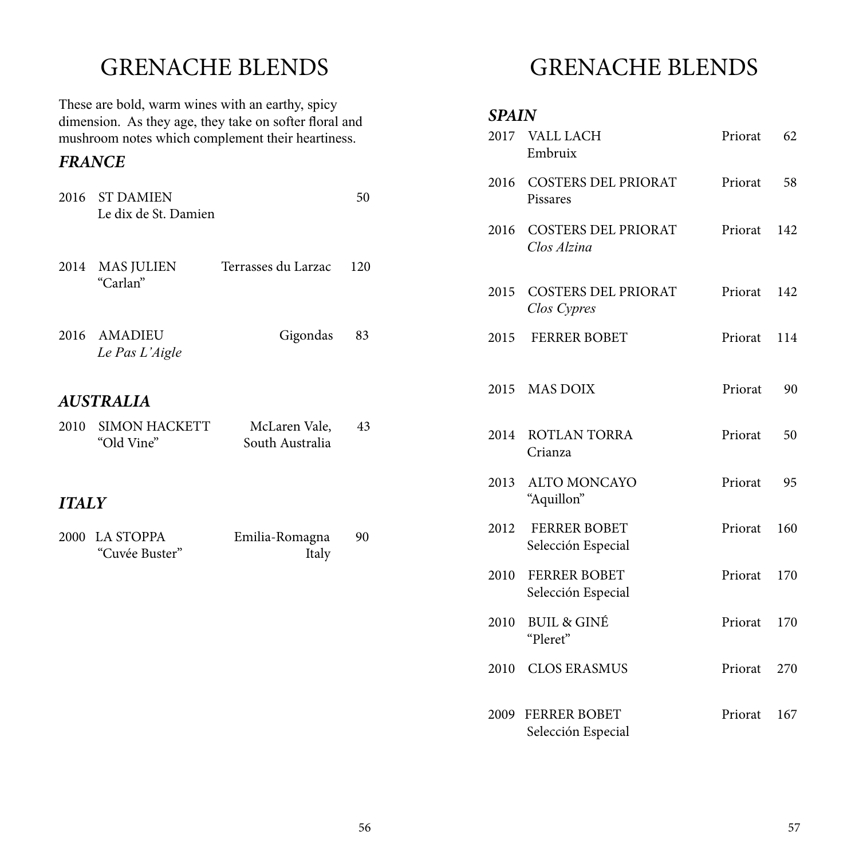### GRENACHE BLENDS

These are bold, warm wines with an earthy, spicy dimension. As they age, they take on softer floral and mushroom notes which complement their heartiness.

#### *FRANCE*

|              | 2016 ST DAMIEN<br>Le dix de St. Damien |                                  | 50  |
|--------------|----------------------------------------|----------------------------------|-----|
| 2014         | <b>MAS JULIEN</b><br>"Carlan"          | Terrasses du Larzac              | 120 |
|              | 2016 AMADIEU<br>Le Pas L'Aigle         | Gigondas                         | 83  |
|              | <b>AUSTRALIA</b>                       |                                  |     |
| 2010         | <b>SIMON HACKETT</b><br>"Old Vine"     | McLaren Vale,<br>South Australia | 43  |
| <b>ITALY</b> |                                        |                                  |     |
|              | 2000 LA STOPPA<br>"Cuvée Buster"       | Emilia-Romagna<br>Italy          | 90  |

# GRENACHE BLENDS

#### *SPAIN*

|      | 2017 VALL LACH<br>Embruix                 | Priorat | 62  |
|------|-------------------------------------------|---------|-----|
|      | 2016 COSTERS DEL PRIORAT<br>Pissares      | Priorat | 58  |
| 2016 | <b>COSTERS DEL PRIORAT</b><br>Clos Alzina | Priorat | 142 |
|      | 2015 COSTERS DEL PRIORAT<br>Clos Cypres   | Priorat | 142 |
| 2015 | <b>FERRER BOBET</b>                       | Priorat | 114 |
|      | 2015 MAS DOIX                             | Priorat | 90  |
| 2014 | <b>ROTLAN TORRA</b><br>Crianza            | Priorat | 50  |
| 2013 | <b>ALTO MONCAYO</b><br>"Aquillon"         | Priorat | 95  |
| 2012 | <b>FERRER BOBET</b><br>Selección Especial | Priorat | 160 |
| 2010 | <b>FERRER BOBET</b><br>Selección Especial | Priorat | 170 |
| 2010 | <b>BUIL &amp; GINÉ</b><br>"Pleret"        | Priorat | 170 |
| 2010 | <b>CLOS ERASMUS</b>                       | Priorat | 270 |
| 2009 | <b>FERRER BOBET</b><br>Selección Especial | Priorat | 167 |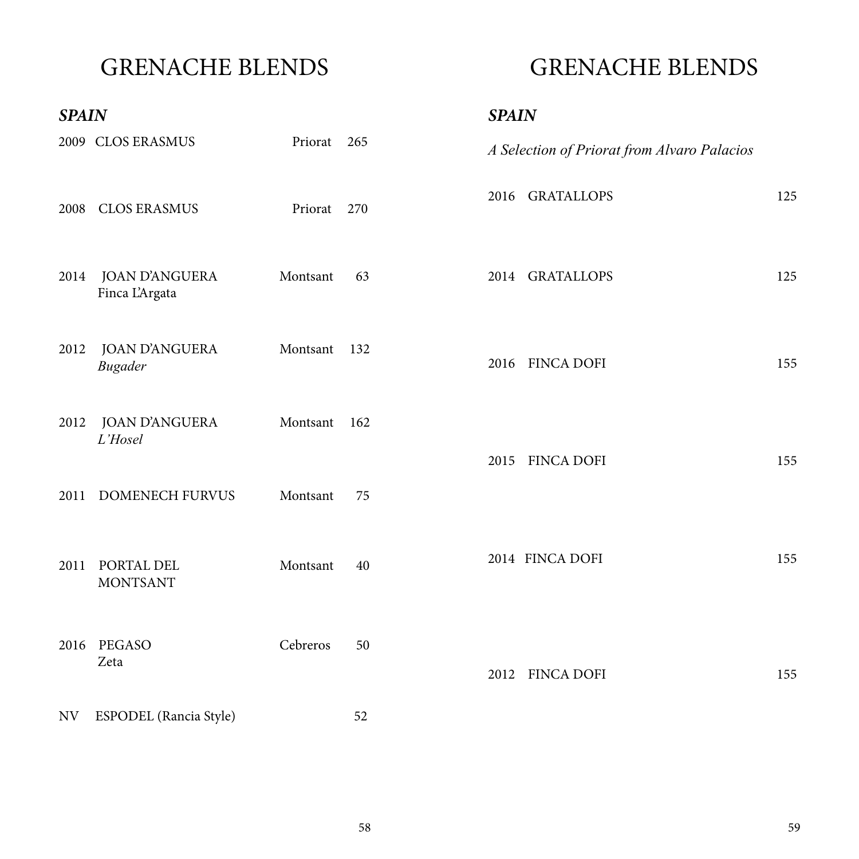## GRENACHE BLENDS

## GRENACHE BLENDS

| <b>SPAIN</b> |                                         |          |     | <b>SPAIN</b>                                |
|--------------|-----------------------------------------|----------|-----|---------------------------------------------|
|              | 2009 CLOS ERASMUS                       | Priorat  | 265 | A Selection of Priorat from Alvaro Palacios |
| 2008         | <b>CLOS ERASMUS</b>                     | Priorat  | 270 | 2016 GRATALLOPS<br>125                      |
| 2014         | <b>JOAN D'ANGUERA</b><br>Finca L'Argata | Montsant | 63  | <b>GRATALLOPS</b><br>125<br>2014            |
| 2012         | <b>JOAN D'ANGUERA</b><br><b>Bugader</b> | Montsant | 132 | <b>FINCA DOFI</b><br>155<br>2016            |
| 2012         | <b>JOAN D'ANGUERA</b><br>L'Hosel        | Montsant | 162 | <b>FINCA DOFI</b><br>155<br>2015            |
| 2011         | DOMENECH FURVUS                         | Montsant | 75  |                                             |
| 2011         | PORTAL DEL<br><b>MONTSANT</b>           | Montsant | 40  | 2014 FINCA DOFI<br>155                      |
|              | 2016 PEGASO<br>Zeta                     | Cebreros | 50  | 2012 FINCA DOFI<br>155                      |
| NV           | ESPODEL (Rancia Style)                  |          | 52  |                                             |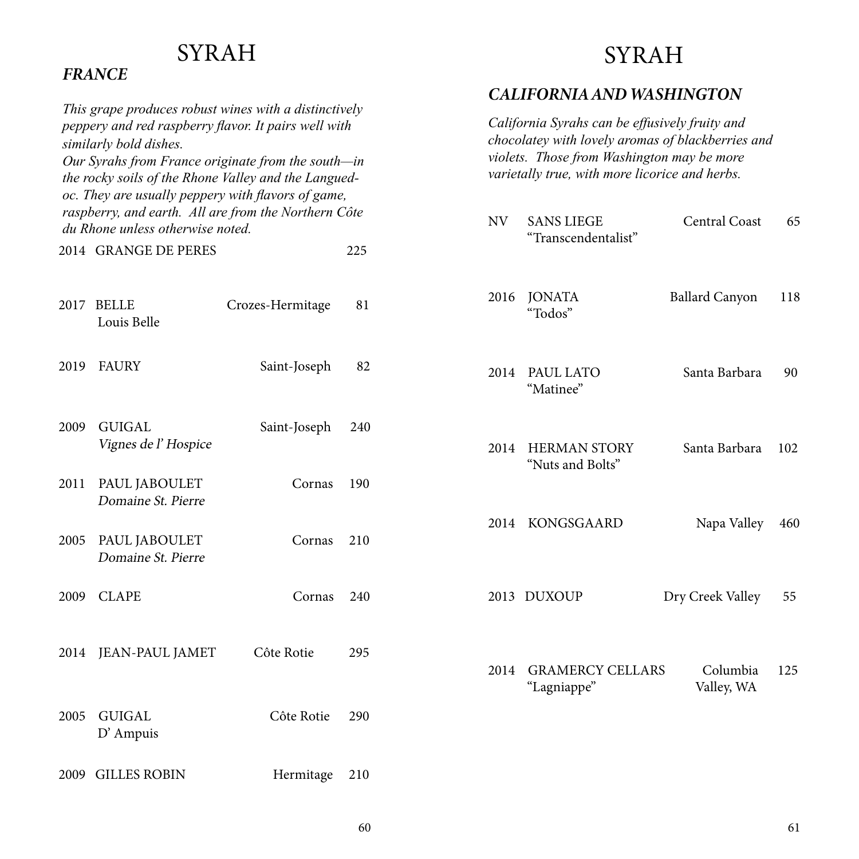# SYRAH

#### *FRANCE*

#### SYRAH

#### *CALIFORNIA AND WASHINGTON*

|      | This grape produces robust wines with a distinctively<br>peppery and red raspberry flavor. It pairs well with<br>similarly bold dishes.<br>Our Syrahs from France originate from the south-in<br>the rocky soils of the Rhone Valley and the Langued-<br>oc. They are usually peppery with flavors of game, |                  |     |           | California Syrahs can be effusively fruity and<br>chocolatey with lovely aromas of blackberries and<br>violets. Those from Washington may be more<br>varietally true, with more licorice and herbs. |                        |     |
|------|-------------------------------------------------------------------------------------------------------------------------------------------------------------------------------------------------------------------------------------------------------------------------------------------------------------|------------------|-----|-----------|-----------------------------------------------------------------------------------------------------------------------------------------------------------------------------------------------------|------------------------|-----|
|      | raspberry, and earth. All are from the Northern Côte<br>du Rhone unless otherwise noted.                                                                                                                                                                                                                    |                  |     | <b>NV</b> | <b>SANS LIEGE</b><br>"Transcendentalist"                                                                                                                                                            | <b>Central Coast</b>   | 65  |
|      | 2014 GRANGE DE PERES                                                                                                                                                                                                                                                                                        |                  | 225 |           |                                                                                                                                                                                                     |                        |     |
| 2017 | <b>BELLE</b><br>Louis Belle                                                                                                                                                                                                                                                                                 | Crozes-Hermitage | 81  | 2016      | <b>JONATA</b><br>"Todos"                                                                                                                                                                            | <b>Ballard Canyon</b>  | 118 |
| 2019 | <b>FAURY</b>                                                                                                                                                                                                                                                                                                | Saint-Joseph     | 82  | 2014      | PAUL LATO<br>"Matinee"                                                                                                                                                                              | Santa Barbara          | 90  |
| 2009 | <b>GUIGAL</b><br><i>Vignes de l'Hospice</i>                                                                                                                                                                                                                                                                 | Saint-Joseph     | 240 | 2014      | <b>HERMAN STORY</b><br>"Nuts and Bolts"                                                                                                                                                             | Santa Barbara          | 102 |
| 2011 | PAUL JABOULET<br>Domaine St. Pierre                                                                                                                                                                                                                                                                         | Cornas           | 190 |           |                                                                                                                                                                                                     |                        |     |
| 2005 | PAUL JABOULET<br>Domaine St. Pierre                                                                                                                                                                                                                                                                         | Cornas           | 210 | 2014      | <b>KONGSGAARD</b>                                                                                                                                                                                   | Napa Valley            | 460 |
| 2009 | <b>CLAPE</b>                                                                                                                                                                                                                                                                                                | Cornas           | 240 |           | 2013 DUXOUP                                                                                                                                                                                         | Dry Creek Valley       | 55  |
|      | 2014 JEAN-PAUL JAMET                                                                                                                                                                                                                                                                                        | Côte Rotie       | 295 | 2014      | <b>GRAMERCY CELLARS</b><br>"Lagniappe"                                                                                                                                                              | Columbia<br>Valley, WA | 125 |
| 2005 | <b>GUIGAL</b><br>$D'$ Ampuis                                                                                                                                                                                                                                                                                | Côte Rotie       | 290 |           |                                                                                                                                                                                                     |                        |     |
|      | 2009 GILLES ROBIN                                                                                                                                                                                                                                                                                           | Hermitage        | 210 |           |                                                                                                                                                                                                     |                        |     |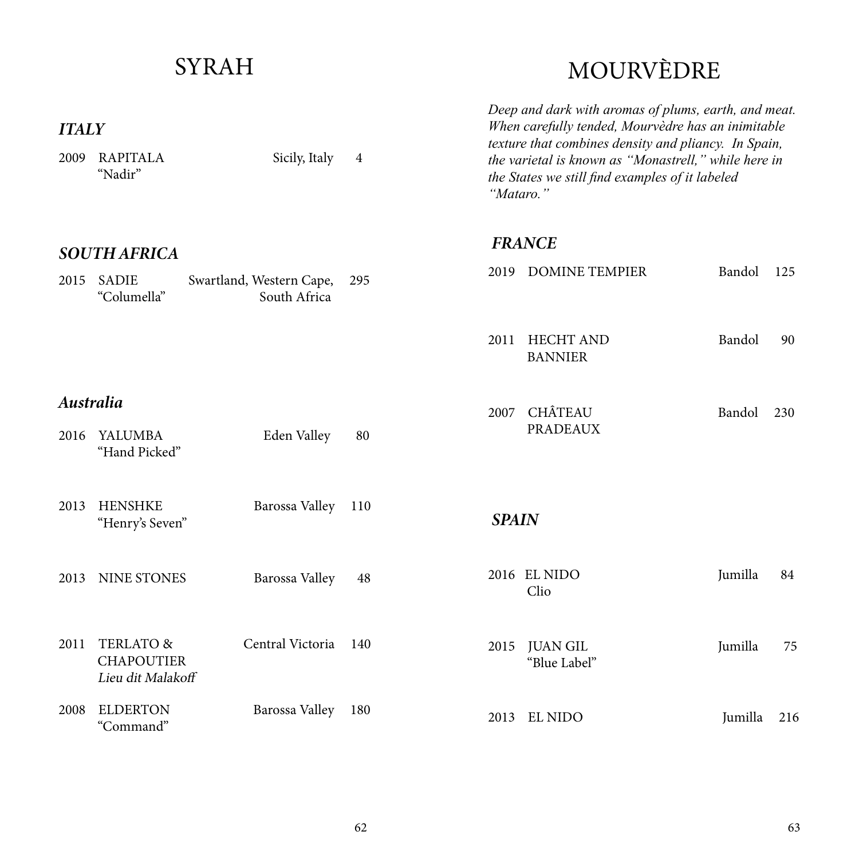#### *ITALY* 2009 RAPITALA Sicily, Italy 4 "Nadir" 2015 SADIE Swartland, Western Cape, 295 "Columella" South Africa *SOUTH AFRICA Australia* 2016 YALUMBA Eden Valley 80 "Hand Picked" 2013 HENSHKE Barossa Valley 110 "Henry's Seven" 2008 ELDERTON Barossa Valley 180 "Command" 2013 NINE STONES Barossa Valley 48 2011 TERLATO & Central Victoria 140 CHAPOUTIER Lieu dit Malakoff MOURVÈDRE *Deep and dark with aromas of plums, earth, and meat. When carefully tended, Mourvèdre has an inimitable texture that combines density and pliancy. In Spain, the varietal is known as "Monastrell," while here in the States we still find examples of it labeled "Mataro."* 2011 HECHT AND Bandol 90 BANNIER 2007 CHÂTEAU Bandol 230 PRADEAUX 2019 DOMINE TEMPIER Bandol 125 *FRANCE SPAIN* 2016 EL NIDO Jumilla 84 Clio 2015 JUAN GIL Jumilla 75 "Blue Label" 2013 EL NIDO Jumilla 216

SYRAH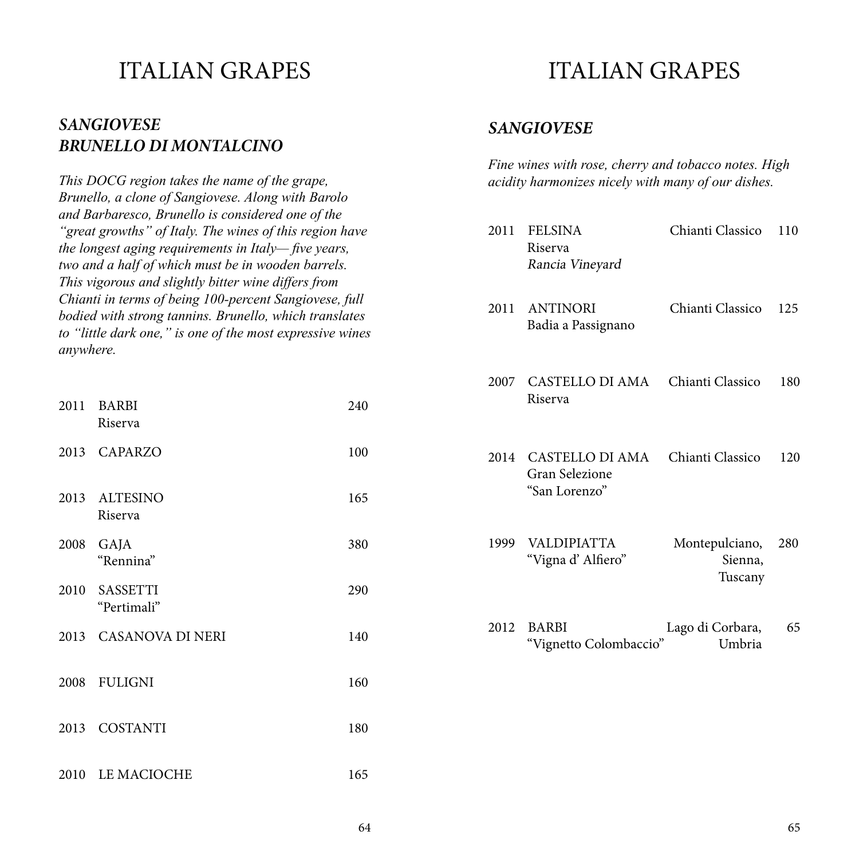#### *SANGIOVESE BRUNELLO DI MONTALCINO*

*This DOCG region takes the name of the grape, Brunello, a clone of Sangiovese. Along with Barolo and Barbaresco, Brunello is considered one of the "great growths" of Italy. The wines of this region have the longest aging requirements in Italy— five years, two and a half of which must be in wooden barrels. This vigorous and slightly bitter wine differs from Chianti in terms of being 100-percent Sangiovese, full bodied with strong tannins. Brunello, which translates to "little dark one," is one of the most expressive wines anywhere.*

| 2011 | <b>BARBI</b><br>Riserva  | 240 |
|------|--------------------------|-----|
| 2013 | <b>CAPARZO</b>           | 100 |
|      | 2013 ALTESINO<br>Riserva | 165 |
| 2008 | GAJA<br>"Rennina"        | 380 |
| 2010 | SASSETTI<br>"Pertimali"  | 290 |
|      | 2013 CASANOVA DI NERI    | 140 |
| 2008 | <b>FULIGNI</b>           | 160 |
| 2013 | <b>COSTANTI</b>          | 180 |
| 2010 | LE MACIOCHE              | 165 |

### ITALIAN GRAPES

#### *SANGIOVESE*

*Fine wines with rose, cherry and tobacco notes. High acidity harmonizes nicely with many of our dishes.*

| 2011 | <b>FELSINA</b><br>Riserva<br>Rancia Vineyard                   | Chianti Classico                     | 110 |
|------|----------------------------------------------------------------|--------------------------------------|-----|
| 2011 | <b>ANTINORI</b><br>Badia a Passignano                          | Chianti Classico                     | 125 |
|      | 2007 CASTELLO DI AMA<br>Riserva                                | Chianti Classico                     | 180 |
|      | 2014 CASTELLO DI AMA<br><b>Gran Selezione</b><br>"San Lorenzo" | Chianti Classico                     | 120 |
| 1999 | VALDIPIATTA<br>"Vigna d' Alfiero"                              | Montepulciano,<br>Sienna,<br>Tuscany | 280 |
| 2012 | <b>BARBI</b><br>"Vignetto Colombaccio"                         | Lago di Corbara,<br>Umbria           | 65  |
|      |                                                                |                                      |     |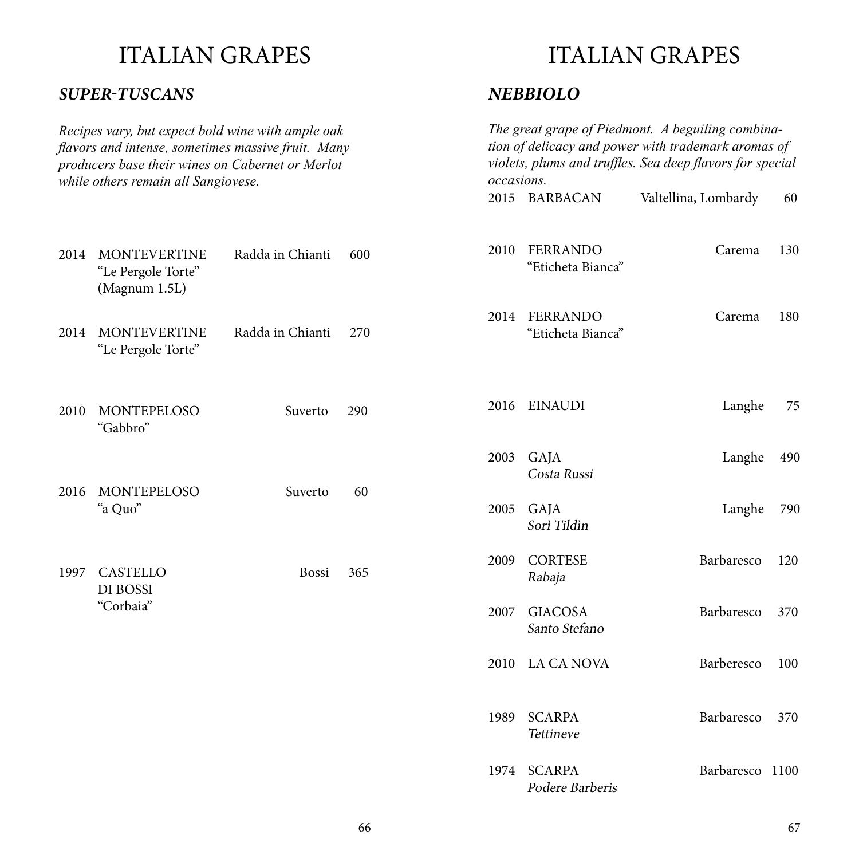#### *SUPER-TUSCANS*

*Recipes vary, but expect bold wine with ample oak flavors and intense, sometimes massive fruit. Many producers base their wines on Cabernet or Merlot while others remain all Sangiovese.*

2014 MONTEVERTINE Radda in Chianti

2014 MONTEVERTINE Radda in Chianti

2010 MONTEPELOSO Suverto

2016 MONTEPELOSO Suverto

1997 CASTELLO Bossi

"Le Pergole Torte" (Magnum 1.5L)

"Le Pergole Torte"

"Gabbro"

"a Quo"

DI BOSSI "Corbaia"

#### ITALIAN GRAPES

#### *NEBBIOLO*

| k<br>ıy<br>t |      | The great grape of Piedmont. A beguiling combina-<br>tion of delicacy and power with trademark aromas of<br>violets, plums and truffles. Sea deep flavors for special<br>occasions. |                      |     |
|--------------|------|-------------------------------------------------------------------------------------------------------------------------------------------------------------------------------------|----------------------|-----|
|              |      | 2015 BARBACAN                                                                                                                                                                       | Valtellina, Lombardy | 60  |
| 600          | 2010 | <b>FERRANDO</b><br>"Eticheta Bianca"                                                                                                                                                | Carema               | 130 |
| 270          | 2014 | <b>FERRANDO</b><br>"Eticheta Bianca"                                                                                                                                                | Carema               | 180 |
| 290          | 2016 | <b>EINAUDI</b>                                                                                                                                                                      | Langhe               | 75  |
|              | 2003 | GAJA<br>Costa Russi                                                                                                                                                                 | Langhe               | 490 |
| 60           | 2005 | GAJA<br>Sorì Tildìn                                                                                                                                                                 | Langhe               | 790 |
| 365          | 2009 | <b>CORTESE</b><br>Rabaja                                                                                                                                                            | Barbaresco           | 120 |
|              | 2007 | <b>GIACOSA</b><br>Santo Stefano                                                                                                                                                     | Barbaresco           | 370 |
|              | 2010 | LA CA NOVA                                                                                                                                                                          | Barberesco           | 100 |
|              | 1989 | <b>SCARPA</b><br>Tettineve                                                                                                                                                          | Barbaresco           | 370 |
|              |      | 1974 SCARPA<br>Podere Barberis                                                                                                                                                      | Barbaresco 1100      |     |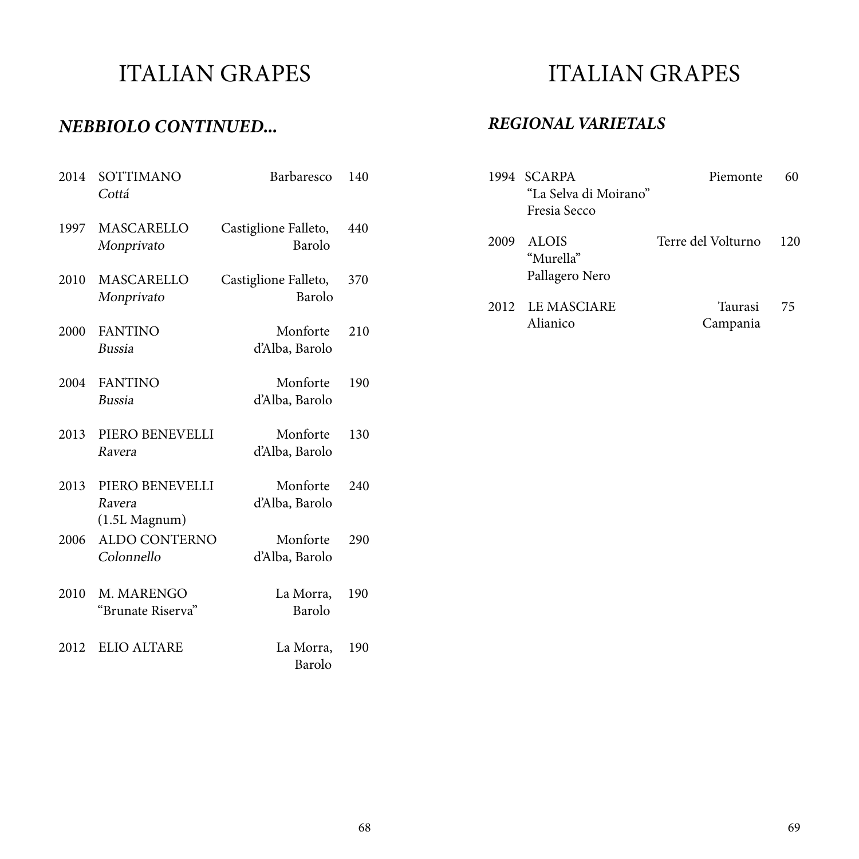#### *NEBBIOLO CONTINUED...*

| 2014 | SOTTIMANO<br>Cottá                           | Barbaresco                     | 140 |
|------|----------------------------------------------|--------------------------------|-----|
| 1997 | MASCARELLO<br>Monprivato                     | Castiglione Falleto,<br>Barolo | 440 |
| 2010 | <b>MASCARELLO</b><br>Monprivato              | Castiglione Falleto,<br>Barolo | 370 |
| 2000 | <b>FANTINO</b><br><b>Bussia</b>              | Monforte<br>d'Alba, Barolo     | 210 |
| 2004 | <b>FANTINO</b><br><b>Bussia</b>              | Monforte<br>d'Alba, Barolo     | 190 |
| 2013 | PIERO BENEVELLI<br>Ravera                    | Monforte<br>d'Alba, Barolo     | 130 |
| 2013 | PIERO BENEVELLI<br>Ravera<br>$(1.5L$ Magnum) | Monforte<br>d'Alba, Barolo     | 240 |
| 2006 | <b>ALDO CONTERNO</b><br>Colonnello           | Monforte<br>d'Alba, Barolo     | 290 |
| 2010 | M. MARENGO<br>"Brunate Riserva"              | La Morra,<br>Barolo            | 190 |
| 2012 | <b>ELIO ALTARE</b>                           | La Morra,<br><b>Barolo</b>     | 190 |

### ITALIAN GRAPES

#### *REGIONAL VARIETALS*

|      | 1994 SCARPA<br>"La Selva di Moirano"        | Piemonte            |     |
|------|---------------------------------------------|---------------------|-----|
|      | Fresia Secco                                |                     |     |
| 2009 | <b>ALOIS</b><br>"Murella"<br>Pallagero Nero | Terre del Volturno  | 120 |
|      | 2012 LE MASCIARE<br>Alianico                | Taurasi<br>Campania | 75  |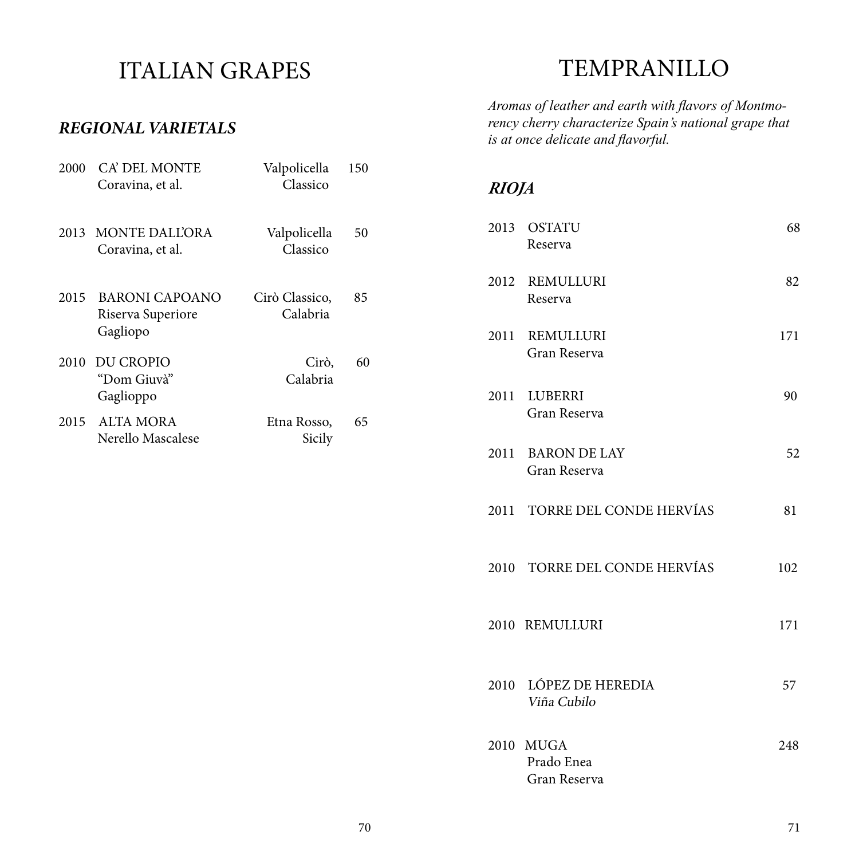#### *REGIONAL VARIETALS*

| 2000 | CA' DEL MONTE<br>Coravina, et al.                      | Valpolicella<br>Classico   | 150 |
|------|--------------------------------------------------------|----------------------------|-----|
|      | 2013 MONTE DALL'ORA<br>Coravina, et al.                | Valpolicella<br>Classico   | 50  |
| 2015 | <b>BARONI CAPOANO</b><br>Riserva Superiore<br>Gagliopo | Cirò Classico,<br>Calabria | 85  |
| 2010 | <b>DU CROPIO</b><br>"Dom Giuvà"<br>Gaglioppo           | Cirò,<br>Calabria          | 60  |
|      | 2015 ALTA MORA<br>Nerello Mascalese                    | Etna Rosso,<br>Sicily      | 65  |

### TEMPRANILLO

*Aromas of leather and earth with flavors of Montmorency cherry characterize Spain's national grape that is at once delicate and flavorful.*

#### *RIOJA*

|      | 2013 OSTATU<br>Reserva                    | 68  |
|------|-------------------------------------------|-----|
|      | 2012 REMULLURI<br>Reserva                 | 82  |
|      | 2011 REMULLURI<br>Gran Reserva            | 171 |
|      | 2011 LUBERRI<br>Gran Reserva              | 90  |
|      | 2011 BARON DE LAY<br>Gran Reserva         | 52  |
|      | 2011 TORRE DEL CONDE HERVÍAS              | 81  |
|      | 2010 TORRE DEL CONDE HERVÍAS              | 102 |
|      | 2010 REMULLURI                            | 171 |
|      | 2010 LÓPEZ DE HEREDIA<br>Viña Cubilo      | 57  |
| 2010 | <b>MUGA</b><br>Prado Enea<br>Gran Reserva | 248 |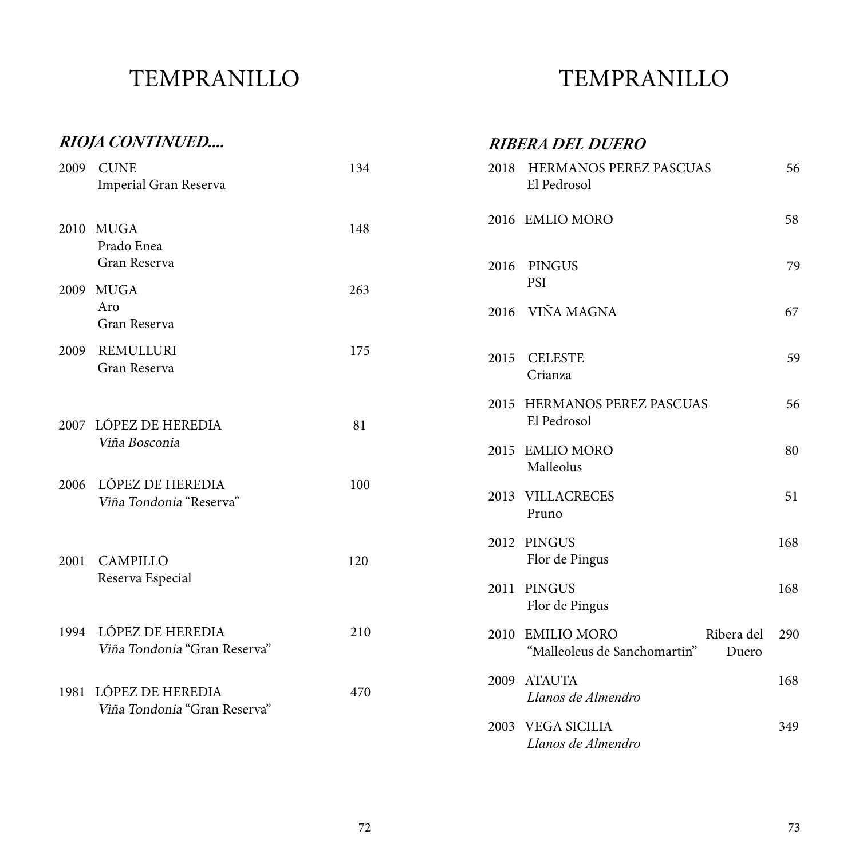## TEMPRANILLO

### TEMPRANILLO

|      | RIOJA CONTINUED                                       |     | <b>RIBERA DEL DUERO</b>                                                        |
|------|-------------------------------------------------------|-----|--------------------------------------------------------------------------------|
| 2009 | <b>CUNE</b><br>Imperial Gran Reserva                  | 134 | 2018 HERMANOS PEREZ PASCUAS<br>56<br>El Pedrosol                               |
|      | 2010 MUGA<br>Prado Enea                               | 148 | 58<br>2016 EMLIO MORO                                                          |
|      | Gran Reserva                                          |     | <b>PINGUS</b><br>79<br>2016                                                    |
| 2009 | <b>MUGA</b>                                           | 263 | <b>PSI</b>                                                                     |
|      | Aro<br>Gran Reserva                                   |     | 2016 VIÑA MAGNA<br>67                                                          |
| 2009 | <b>REMULLURI</b>                                      | 175 | <b>CELESTE</b><br>59<br>2015                                                   |
|      | Gran Reserva                                          |     | Crianza                                                                        |
|      | 2007 LÓPEZ DE HEREDIA                                 | 81  | 2015 HERMANOS PEREZ PASCUAS<br>56<br>El Pedrosol                               |
|      | Viña Bosconia                                         |     | 80<br>2015 EMLIO MORO<br>Malleolus                                             |
| 2006 | LÓPEZ DE HEREDIA<br>Viña Tondonia "Reserva"           | 100 | 2013 VILLACRECES<br>51<br>Pruno                                                |
| 2001 | <b>CAMPILLO</b>                                       | 120 | 2012 PINGUS<br>168<br>Flor de Pingus                                           |
|      | Reserva Especial                                      |     | 2011 PINGUS<br>168<br>Flor de Pingus                                           |
| 1994 | LÓPEZ DE HEREDIA<br>Viña Tondonia "Gran Reserva"      | 210 | 2010 EMILIO MORO<br>Ribera del<br>290<br>"Malleoleus de Sanchomartin"<br>Duero |
|      | 1981 LÓPEZ DE HEREDIA<br>Viña Tondonia "Gran Reserva" | 470 | 2009 ATAUTA<br>168<br>Llanos de Almendro                                       |
|      |                                                       |     | 2003 VEGA SICILIA<br>349<br>Llanos de Almendro                                 |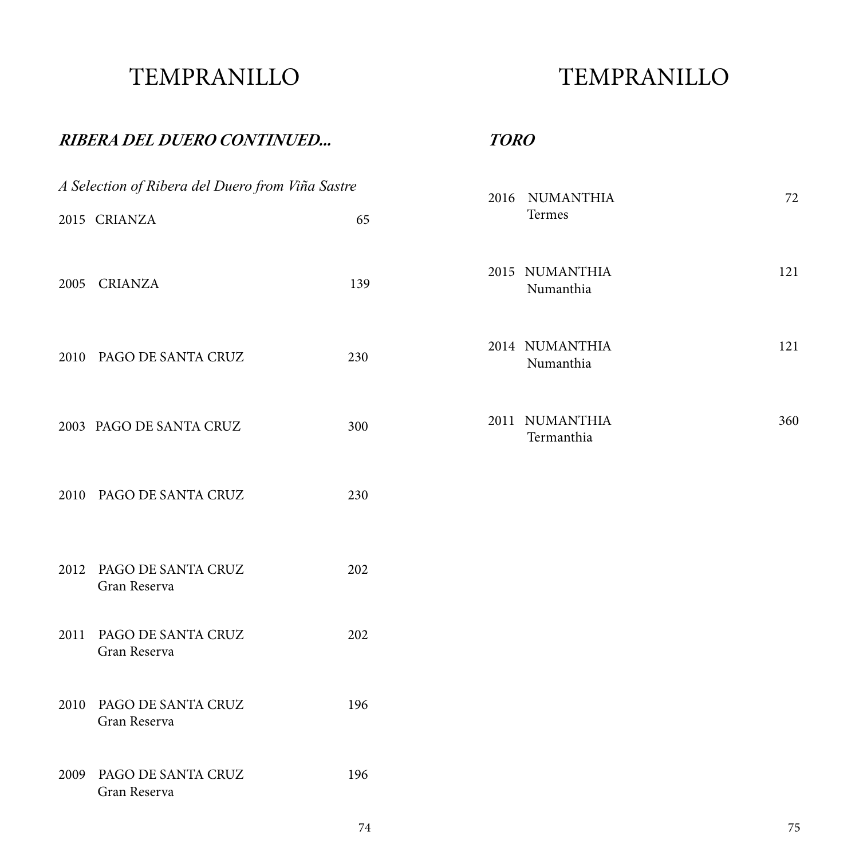### TEMPRANILLO

### TEMPRANILLO

#### *RIBERA DEL DUERO CONTINUED...*

*TORO*

|      | A Selection of Ribera del Duero from Viña Sastre | 2016 NUMANTHIA |  |                              |     |
|------|--------------------------------------------------|----------------|--|------------------------------|-----|
|      | 2015 CRIANZA                                     | 65             |  | Termes                       | 72  |
| 2005 | <b>CRIANZA</b>                                   | 139            |  | 2015 NUMANTHIA<br>Numanthia  | 121 |
|      | 2010 PAGO DE SANTA CRUZ                          | 230            |  | 2014 NUMANTHIA<br>Numanthia  | 121 |
|      | 2003 PAGO DE SANTA CRUZ                          | 300            |  | 2011 NUMANTHIA<br>Termanthia | 360 |
|      | 2010 PAGO DE SANTA CRUZ                          | 230            |  |                              |     |
|      | 2012 PAGO DE SANTA CRUZ<br>Gran Reserva          | 202            |  |                              |     |
|      | 2011 PAGO DE SANTA CRUZ<br>Gran Reserva          | 202            |  |                              |     |
|      | 2010 PAGO DE SANTA CRUZ<br>Gran Reserva          | 196            |  |                              |     |
| 2009 | PAGO DE SANTA CRUZ<br>Gran Reserva               | 196            |  |                              |     |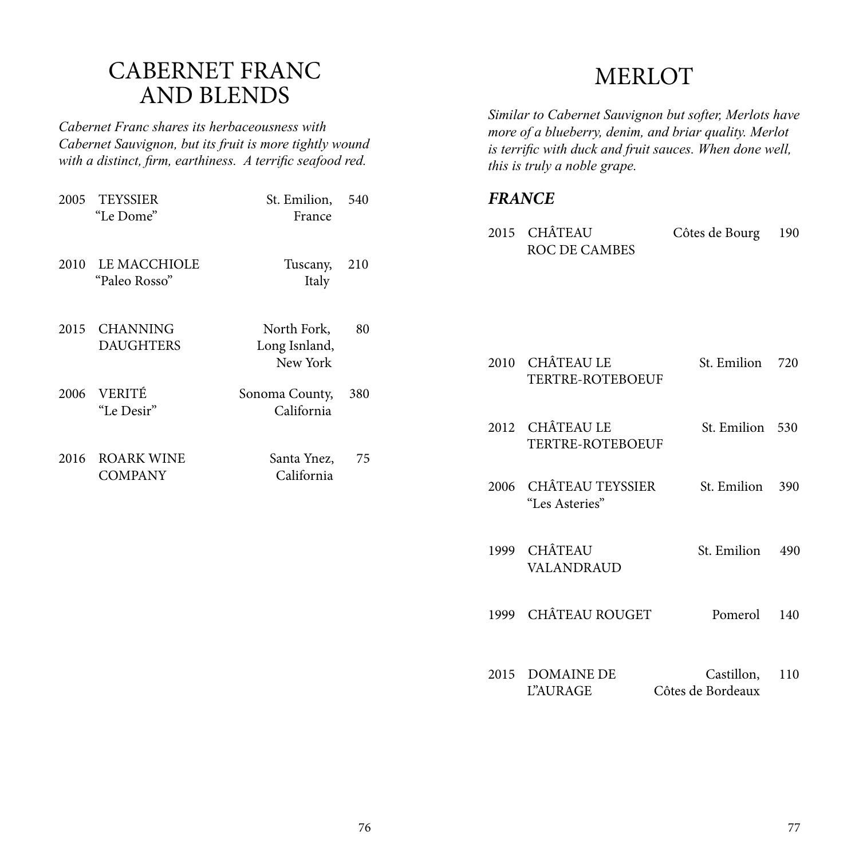#### CABERNET FRANC AND BLENDS

*Cabernet Franc shares its herbaceousness with Cabernet Sauvignon, but its fruit is more tightly wound with a distinct, firm, earthiness. A terrific seafood red.*

| 2005 | <b>TEYSSIER</b><br>"Le Dome"        | St. Emilion,<br>France                   | 540 |
|------|-------------------------------------|------------------------------------------|-----|
| 2010 | LE MACCHIOLE<br>"Paleo Rosso"       | Tuscany,<br>Italy                        | 210 |
| 2015 | <b>CHANNING</b><br><b>DAUGHTERS</b> | North Fork,<br>Long Isnland,<br>New York | 80  |
|      | 2006 VERITÉ<br>"Le Desir"           | Sonoma County,<br>California             | 380 |
| 2016 | <b>ROARK WINE</b><br><b>COMPANY</b> | Santa Ynez,<br>California                | 75  |
|      |                                     |                                          |     |

### MERLOT

*Similar to Cabernet Sauvignon but softer, Merlots have more of a blueberry, denim, and briar quality. Merlot is terrific with duck and fruit sauces. When done well, this is truly a noble grape.* 

#### *FRANCE*

| 2015 CHÂTEAU<br><b>ROC DE CAMBES</b>    | Côtes de Bourg                  | 190 |
|-----------------------------------------|---------------------------------|-----|
|                                         |                                 |     |
| 2010 CHÂTEAU LE<br>TERTRE-ROTEBOEUF     | St. Emilion                     | 720 |
| 2012 CHÂTEAU LE<br>TERTRE-ROTEBOEUF     | St. Emilion 530                 |     |
| 2006 CHÂTEAU TEYSSIER<br>"Les Asteries" | St. Emilion                     | 390 |
| 1999 CHÂTEAU<br><b>VALANDRAUD</b>       | St. Emilion                     | 490 |
| 1999 CHÂTEAU ROUGET                     | Pomerol                         | 140 |
| 2015 DOMAINE DE<br>L'AURAGE             | Castillon,<br>Côtes de Bordeaux | 110 |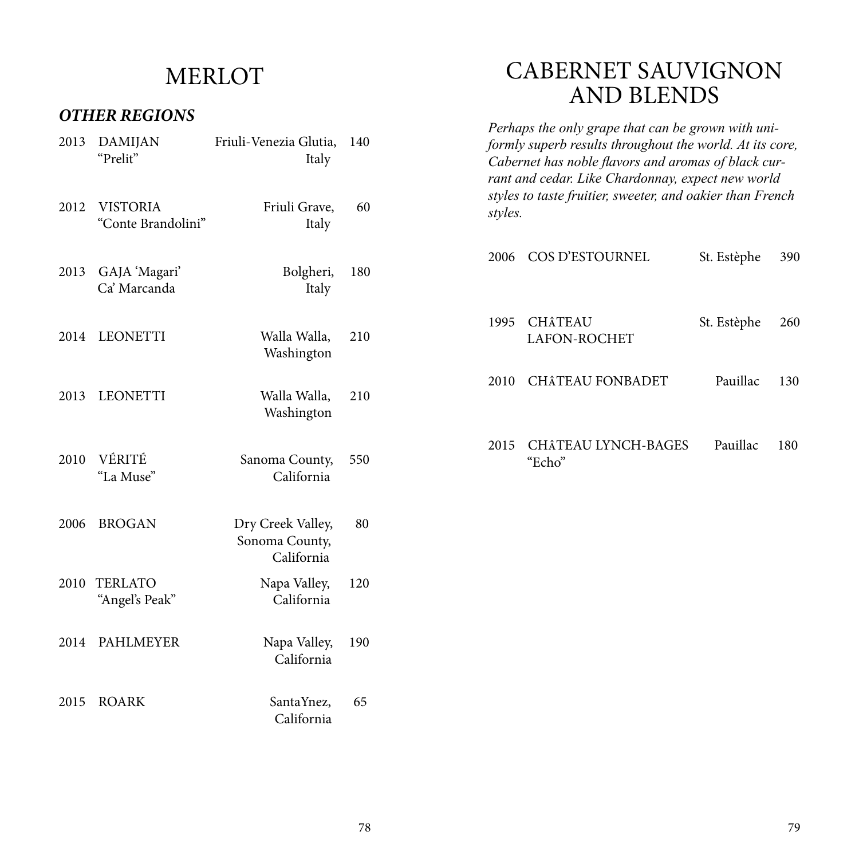### MERLOT

#### *OTHER REGIONS*

| 2013 | <b>DAMIJAN</b><br>"Prelit"            | Friuli-Venezia Glutia,<br>Italy                   | 140 |
|------|---------------------------------------|---------------------------------------------------|-----|
| 2012 | <b>VISTORIA</b><br>"Conte Brandolini" | Friuli Grave,<br>Italy                            | 60  |
| 2013 | GAJA 'Magari'<br>Ca' Marcanda         | Bolgheri,<br>Italy                                | 180 |
|      | 2014 LEONETTI                         | Walla Walla,<br>Washington                        | 210 |
| 2013 | <b>LEONETTI</b>                       | Walla Walla,<br>Washington                        | 210 |
| 2010 | VÉRITÉ<br>"La Muse"                   | Sanoma County,<br>California                      | 550 |
| 2006 | <b>BROGAN</b>                         | Dry Creek Valley,<br>Sonoma County,<br>California | 80  |
| 2010 | <b>TERLATO</b><br>"Angel's Peak"      | Napa Valley,<br>California                        | 120 |
| 2014 | PAHLMEYER                             | Napa Valley,<br>California                        | 190 |
| 2015 | <b>ROARK</b>                          | SantaYnez,<br>California                          | 65  |

#### CABERNET SAUVIGNON AND BLENDS

*Perhaps the only grape that can be grown with uniformly superb results throughout the world. At its core, Cabernet has noble flavors and aromas of black currant and cedar. Like Chardonnay, expect new world styles to taste fruitier, sweeter, and oakier than French styles.*

|      | 2006 COS D'ESTOURNEL                | St. Estèphe | 390 |
|------|-------------------------------------|-------------|-----|
|      | 1995 CHÂTEAU<br><b>LAFON-ROCHET</b> | St. Estèphe | 260 |
| 2010 | CHÂTEAU FONBADET                    | Pauillac    | 130 |
| 2015 | CHÂTEAU LYNCH-BAGES<br>"Echo"       | Pauillac    | 180 |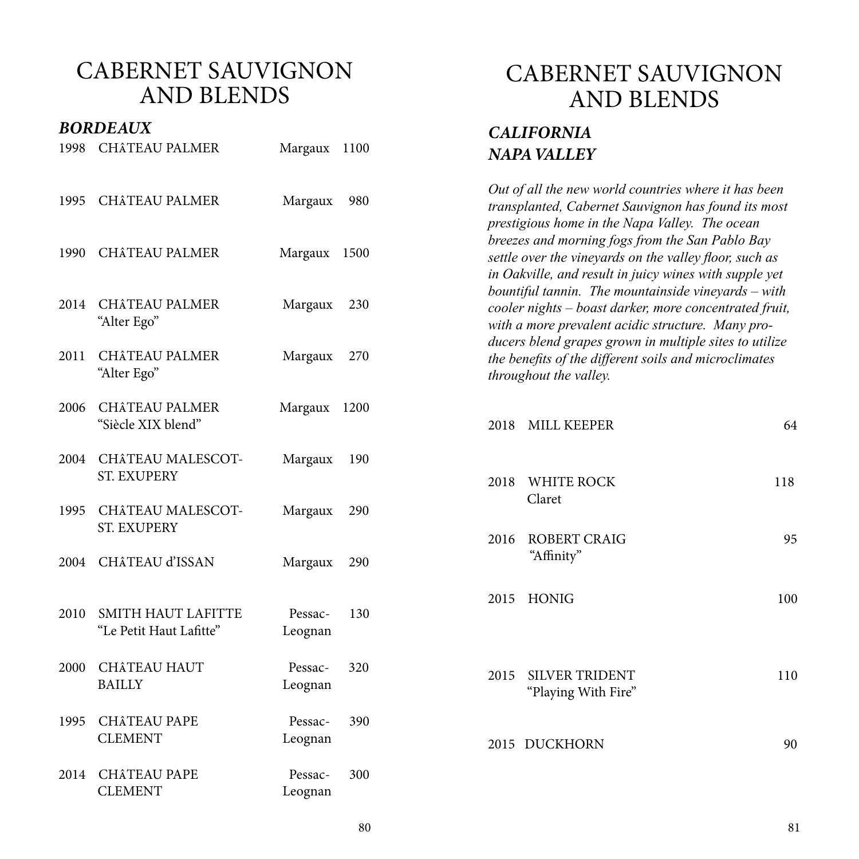#### *BORDEAUX*

| 1998 | <b>CHÂTEAU PALMER</b>                                | Margaux            | 1100 |      | NAPA VALLEY                                                                        |
|------|------------------------------------------------------|--------------------|------|------|------------------------------------------------------------------------------------|
| 1995 | <b>CHÂTEAU PALMER</b>                                | Margaux            | 980  |      | Out of all the new world<br>transplanted, Cabernet<br>prestigious home in the      |
| 1990 | <b>CHÂTEAU PALMER</b>                                | Margaux 1500       |      |      | breezes and morning fog<br>settle over the vineyards<br>in Oakville, and result in |
| 2014 | <b>CHÂTEAU PALMER</b><br>"Alter Ego"                 | Margaux            | 230  |      | bountiful tannin. The m<br>cooler nights $-$ boast da<br>with a more prevalent ad  |
| 2011 | <b>CHÂTEAU PALMER</b><br>"Alter Ego"                 | Margaux            | 270  |      | ducers blend grapes gro<br>the benefits of the differe<br>throughout the valley.   |
| 2006 | <b>CHÂTEAU PALMER</b><br>"Siècle XIX blend"          | Margaux            | 1200 | 2018 | <b>MILL KEEPER</b>                                                                 |
| 2004 | <b>CHÂTEAU MALESCOT-</b><br><b>ST. EXUPERY</b>       | Margaux            | 190  | 2018 | <b>WHITE ROCK</b>                                                                  |
| 1995 | <b>CHÂTEAU MALESCOT-</b><br><b>ST. EXUPERY</b>       | Margaux            | 290  | 2016 | Claret<br><b>ROBERT CRAIG</b>                                                      |
| 2004 | <b>CHÂTEAU d'ISSAN</b>                               | Margaux            | 290  |      | "Affinity"                                                                         |
| 2010 | <b>SMITH HAUT LAFITTE</b><br>"Le Petit Haut Lafitte" | Pessac-<br>Leognan | 130  | 2015 | <b>HONIG</b>                                                                       |
| 2000 | <b>CHÂTEAU HAUT</b><br><b>BAILLY</b>                 | Pessac-<br>Leognan | 320  | 2015 | <b>SILVER TRIDEN</b><br>"Playing With Fir                                          |
| 1995 | <b>CHÂTEAU PAPE</b><br><b>CLEMENT</b>                | Pessac-<br>Leognan | 390  |      | 2015 DUCKHORN                                                                      |
| 2014 | <b>CHÂTEAU PAPE</b><br><b>CLEMENT</b>                | Pessac-<br>Leognan | 300  |      |                                                                                    |

#### CABERNET SAUVIGNON AND BLENDS

# *CALIFORNIA*

*Countries where it has been* **Sauvignon has found its most** *Napa Valley. The ocean breezes and morning fogs from the San Pablo Bay on the valley floor, such as in Oakville, and result in juicy wines with supple yet bountiful tannin. The mountainside vineyards – with cooler nights – boast darker, more concentrated fruit,*  cidic structure. Many pro*ducers blend grapes grown in multiple sites to utilize the benefits of the different soils and microclimates* 

| 2018 WHITE ROCK<br>Claret<br>2016 ROBERT CRAIG<br>"Affinity"<br>2015 HONIG<br>2015 SILVER TRIDENT<br>"Playing With Fire"<br>2015 DUCKHORN | 2018 MILL KEEPER | 64  |
|-------------------------------------------------------------------------------------------------------------------------------------------|------------------|-----|
|                                                                                                                                           |                  | 118 |
|                                                                                                                                           |                  | 95  |
|                                                                                                                                           |                  | 100 |
|                                                                                                                                           |                  | 110 |
|                                                                                                                                           |                  | 90  |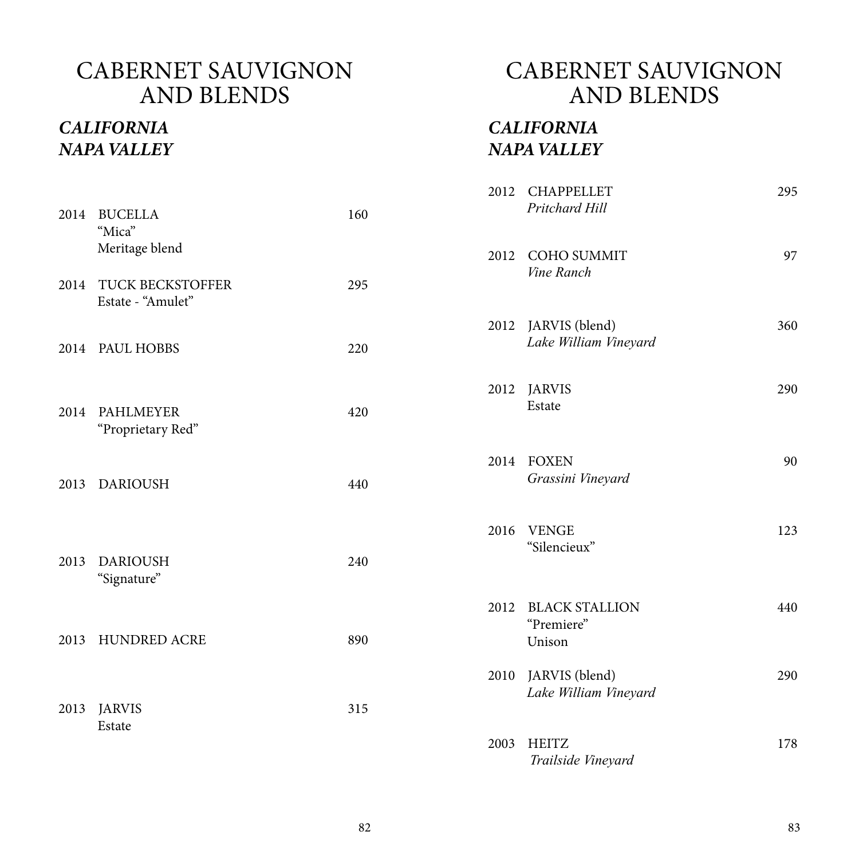#### *CALIFORNIA NAPA VALLEY*

#### CABERNET SAUVIGNON AND BLENDS

#### *CALIFORNIA NAPA VALLEY*

| 2014 | <b>BUCELLA</b><br>"Mica"                     | 160 |      | 2012 CHAPPELLET<br>Pritchard Hill             | 295 |
|------|----------------------------------------------|-----|------|-----------------------------------------------|-----|
|      | Meritage blend                               |     | 2012 | <b>COHO SUMMIT</b><br>Vine Ranch              | 97  |
| 2014 | <b>TUCK BECKSTOFFER</b><br>Estate - "Amulet" | 295 |      |                                               |     |
|      | 2014 PAUL HOBBS                              | 220 |      | 2012 JARVIS (blend)<br>Lake William Vineyard  | 360 |
| 2014 | <b>PAHLMEYER</b><br>"Proprietary Red"        | 420 |      | 2012 JARVIS<br>Estate                         | 290 |
| 2013 | <b>DARIOUSH</b>                              | 440 |      | 2014 FOXEN<br>Grassini Vineyard               | 90  |
| 2013 | <b>DARIOUSH</b><br>"Signature"               | 240 | 2016 | <b>VENGE</b><br>"Silencieux"                  | 123 |
| 2013 | <b>HUNDRED ACRE</b>                          | 890 | 2012 | <b>BLACK STALLION</b><br>"Premiere"<br>Unison | 440 |
| 2013 | <b>JARVIS</b>                                | 315 |      | 2010 JARVIS (blend)<br>Lake William Vineyard  | 290 |
|      | Estate                                       |     | 2003 | <b>HEITZ</b><br>Trailside Vineyard            | 178 |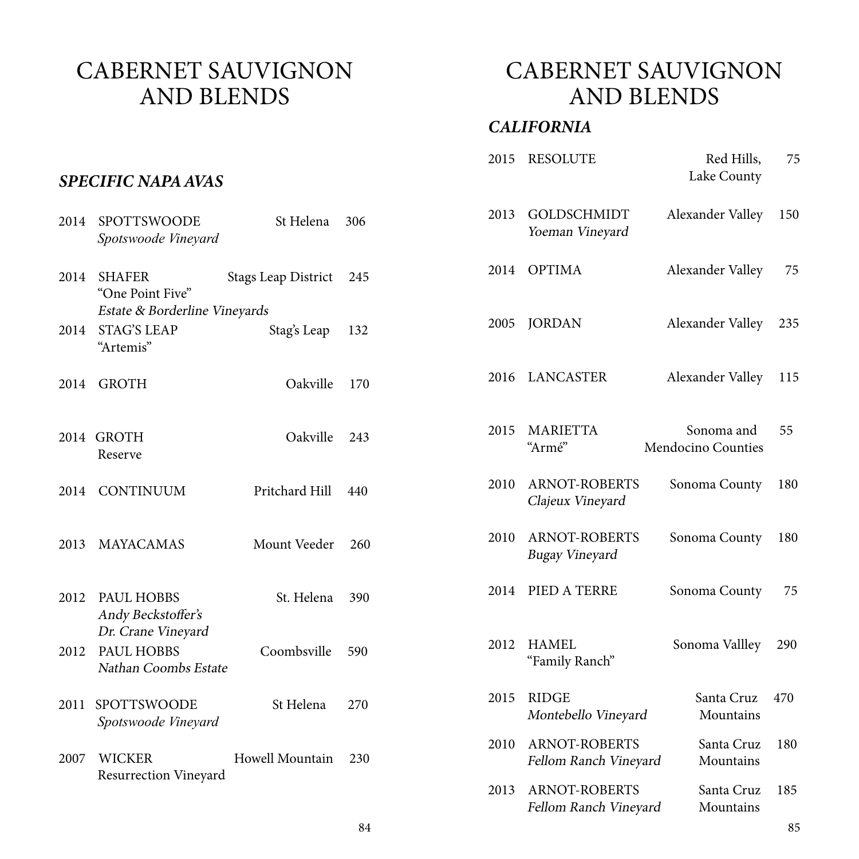### CABERNET SAUVIGNON AND BLENDS

#### *CALIFORNIA*

|      | <b>SPECIFIC NAPA AVAS</b>                                        |                            |     | 2015 | <b>RESOLUTE</b>                               | Red Hills,<br>Lake County        | 75  |
|------|------------------------------------------------------------------|----------------------------|-----|------|-----------------------------------------------|----------------------------------|-----|
| 2014 | SPOTTSWOODE<br>Spotswoode Vineyard                               | St Helena                  | 306 | 2013 | <b>GOLDSCHMIDT</b><br>Yoeman Vineyard         | Alexander Valley                 | 150 |
| 2014 | <b>SHAFER</b><br>"One Point Five"                                | <b>Stags Leap District</b> | 245 |      | 2014 OPTIMA                                   | Alexander Valley                 | 75  |
| 2014 | Estate & Borderline Vineyards<br><b>STAG'S LEAP</b><br>"Artemis" | Stag's Leap                | 132 | 2005 | <b>JORDAN</b>                                 | Alexander Valley                 | 235 |
| 2014 | <b>GROTH</b>                                                     | Oakville                   | 170 | 2016 | LANCASTER                                     | Alexander Valley                 | 115 |
|      | 2014 GROTH<br>Reserve                                            | Oakville                   | 243 | 2015 | <b>MARIETTA</b><br>"Armé"                     | Sonoma and<br>Mendocino Counties | 55  |
| 2014 | <b>CONTINUUM</b>                                                 | Pritchard Hill             | 440 | 2010 | <b>ARNOT-ROBERTS</b><br>Clajeux Vineyard      | Sonoma County                    | 180 |
| 2013 | <b>MAYACAMAS</b>                                                 | Mount Veeder               | 260 | 2010 | <b>ARNOT-ROBERTS</b><br>Bugay Vineyard        | Sonoma County                    | 180 |
| 2012 | <b>PAUL HOBBS</b><br>Andy Beckstoffer's                          | St. Helena                 | 390 |      | 2014 PIED A TERRE                             | Sonoma County                    | 75  |
| 2012 | Dr. Crane Vineyard<br>PAUL HOBBS<br>Nathan Coombs Estate         | Coombsville                | 590 | 2012 | <b>HAMEL</b><br>"Family Ranch"                | Sonoma Vallley                   | 290 |
| 2011 | SPOTTSWOODE<br>Spotswoode Vineyard                               | St Helena                  | 270 | 2015 | <b>RIDGE</b><br>Montebello Vineyard           | Santa Cruz<br>Mountains          | 470 |
| 2007 | <b>WICKER</b><br><b>Resurrection Vineyard</b>                    | Howell Mountain            | 230 | 2010 | <b>ARNOT-ROBERTS</b><br>Fellom Ranch Vineyard | Santa Cruz<br>Mountains          | 180 |
|      |                                                                  |                            |     | 2013 | <b>ARNOT-ROBERTS</b><br>Fellom Ranch Vineyard | Santa Cruz<br>Mountains          | 185 |

#### **SPECIFIC N**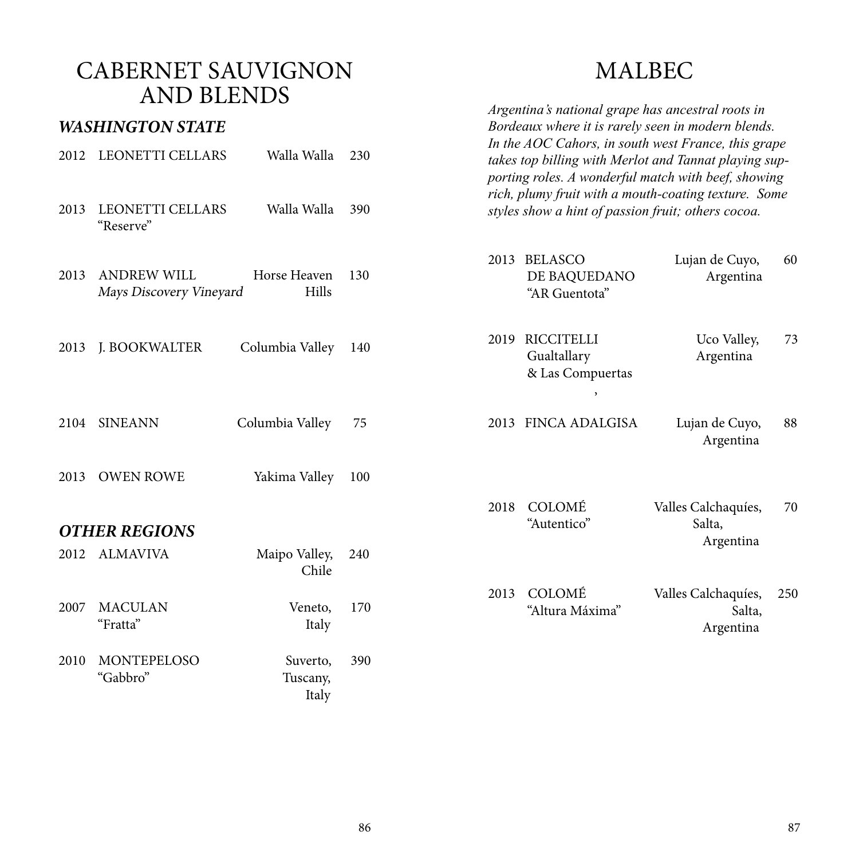### MALBEC

|      | $1 \, \text{I}$ , $1 \, \text{I}$ , $1 \, \text{I}$ , $1 \, \text{I}$ |                               |     |      | Argentina's national grape has ancestral roots in                                                                                                                   |                                            |     |
|------|-----------------------------------------------------------------------|-------------------------------|-----|------|---------------------------------------------------------------------------------------------------------------------------------------------------------------------|--------------------------------------------|-----|
|      | <b>WASHINGTON STATE</b>                                               |                               |     |      | Bordeaux where it is rarely seen in modern blends.                                                                                                                  |                                            |     |
| 2012 | <b>LEONETTI CELLARS</b>                                               | Walla Walla                   | 230 |      | In the AOC Cahors, in south west France, this grape<br>takes top billing with Merlot and Tannat playing sup-<br>porting roles. A wonderful match with beef, showing |                                            |     |
| 2013 | <b>LEONETTI CELLARS</b><br>"Reserve"                                  | Walla Walla                   | 390 |      | rich, plumy fruit with a mouth-coating texture. Some<br>styles show a hint of passion fruit; others cocoa.                                                          |                                            |     |
| 2013 | <b>ANDREW WILL</b><br>Mays Discovery Vineyard                         | Horse Heaven<br>Hills         | 130 | 2013 | <b>BELASCO</b><br>DE BAQUEDANO<br>"AR Guentota"                                                                                                                     | Lujan de Cuyo,<br>Argentina                | 60  |
| 2013 | J. BOOKWALTER                                                         | Columbia Valley               | 140 | 2019 | <b>RICCITELLI</b><br>Gualtallary<br>& Las Compuertas<br>$\overline{\phantom{a}}$                                                                                    | Uco Valley,<br>Argentina                   | 73  |
| 2104 | <b>SINEANN</b>                                                        | Columbia Valley               | 75  |      | 2013 FINCA ADALGISA                                                                                                                                                 | Lujan de Cuyo,<br>Argentina                | 88  |
| 2013 | <b>OWEN ROWE</b>                                                      | Yakima Valley                 | 100 |      |                                                                                                                                                                     |                                            |     |
|      | <b>OTHER REGIONS</b>                                                  |                               |     | 2018 | COLOMÉ<br>"Autentico"                                                                                                                                               | Valles Calchaquíes,<br>Salta,              | 70  |
| 2012 | <b>ALMAVIVA</b>                                                       | Maipo Valley,<br>Chile        | 240 |      |                                                                                                                                                                     | Argentina                                  |     |
| 2007 | <b>MACULAN</b><br>"Fratta"                                            | Veneto,<br>Italy              | 170 | 2013 | COLOMÉ<br>"Altura Máxima"                                                                                                                                           | Valles Calchaquíes,<br>Salta,<br>Argentina | 250 |
| 2010 | MONTEPELOSO<br>"Gabbro"                                               | Suverto,<br>Tuscany,<br>Italy | 390 |      |                                                                                                                                                                     |                                            |     |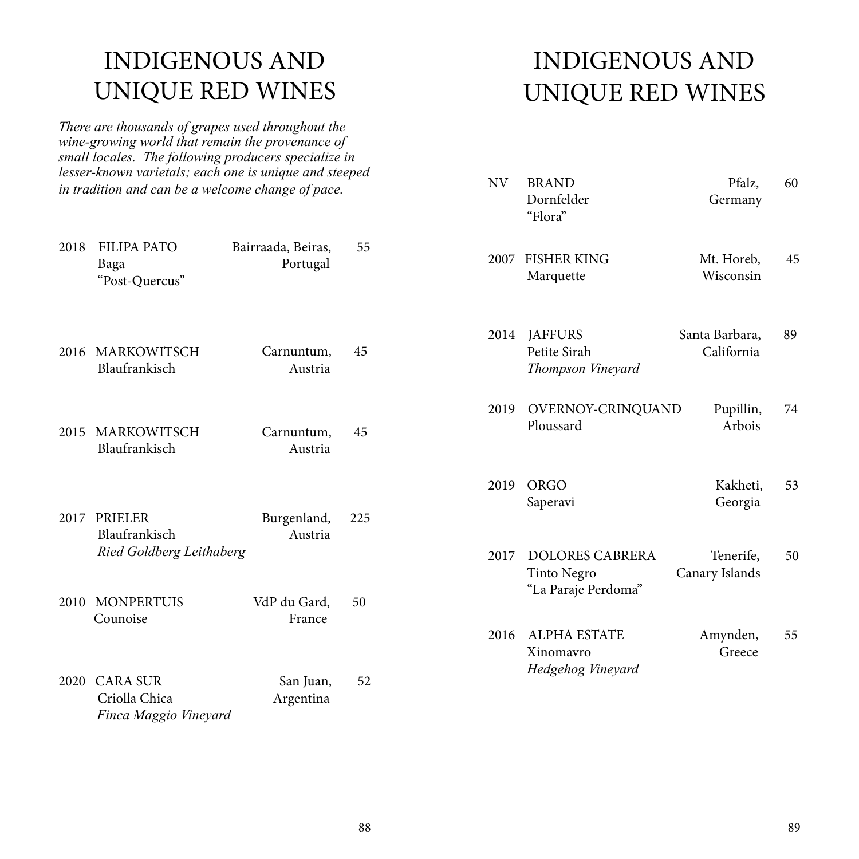# INDIGENOUS AND UNIQUE RED WINES

*There are thousands of grapes used throughout the wine-growing world that remain the provenance of small locales. The following producers specialize in lesser-known varietals; each one is unique and steeped in tradition and can be a welcome change of pace.* 

| 2018 | <b>FILIPA PATO</b><br>Baga<br>"Post-Quercus"                     | Bairraada, Beiras,<br>Portugal | 55  |
|------|------------------------------------------------------------------|--------------------------------|-----|
| 2016 | MARKOWITSCH<br>Blaufrankisch                                     | Carnuntum,<br>Austria          | 45  |
|      | 2015 MARKOWITSCH<br>Blaufrankisch                                | Carnuntum,<br>Austria          | 45  |
|      | 2017 PRIELER<br>Blaufrankisch<br><b>Ried Goldberg Leithaberg</b> | Burgenland,<br>Austria         | 225 |
| 2010 | <b>MONPERTUIS</b><br>Counoise                                    | VdP du Gard,<br>France         | 50  |
| 2020 | <b>CARA SUR</b><br>Criolla Chica<br>Finca Maggio Vineyard        | San Juan,<br>Argentina         | 52  |

# INDIGENOUS AND UNIQUE RED WINES

| NV 1 | <b>BRAND</b><br>Dornfelder<br>"Flora"                               | Pfalz,<br>Germany            | 60 |
|------|---------------------------------------------------------------------|------------------------------|----|
|      | 2007 FISHER KING<br>Marquette                                       | Mt. Horeb,<br>Wisconsin      | 45 |
| 2014 | <b>JAFFURS</b><br>Petite Sirah<br>Thompson Vineyard                 | Santa Barbara,<br>California | 89 |
| 2019 | OVERNOY-CRINQUAND<br>Ploussard                                      | Pupillin,<br>Arbois          | 74 |
| 2019 | <b>ORGO</b><br>Saperavi                                             | Kakheti,<br>Georgia          | 53 |
| 2017 | <b>DOLORES CABRERA</b><br><b>Tinto Negro</b><br>"La Paraje Perdoma" | Tenerife,<br>Canary Islands  | 50 |
| 2016 | <b>ALPHA ESTATE</b><br>Xinomavro<br>Hedgehog Vineyard               | Amynden,<br>Greece           | 55 |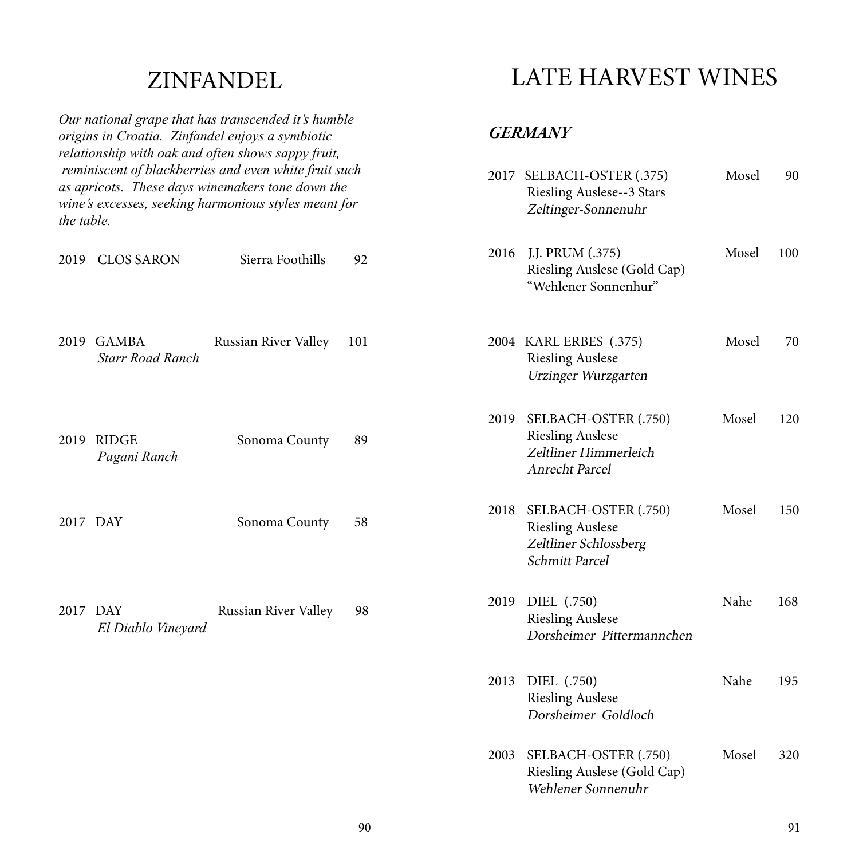### ZINFANDEL

|            |                                         | Our national grape that has transcended it's humble<br>origins in Croatia. Zinfandel enjoys a symbiotic<br>relationship with oak and often shows sappy fruit,     |     |      | <i><b>GERMANY</b></i>                                                                             |       |     |
|------------|-----------------------------------------|-------------------------------------------------------------------------------------------------------------------------------------------------------------------|-----|------|---------------------------------------------------------------------------------------------------|-------|-----|
| the table. |                                         | reminiscent of blackberries and even white fruit such<br>as apricots. These days winemakers tone down the<br>wine's excesses, seeking harmonious styles meant for |     | 2017 | SELBACH-OSTER (.375)<br><b>Riesling Auslese--3 Stars</b><br>Zeltinger-Sonnenuhr                   | Mosel | 90  |
| 2019       | <b>CLOS SARON</b>                       | Sierra Foothills                                                                                                                                                  | 92  | 2016 | J.J. PRUM (.375)<br>Riesling Auslese (Gold Cap)<br>"Wehlener Sonnenhur"                           | Mosel | 100 |
| 2019       | <b>GAMBA</b><br><b>Starr Road Ranch</b> | Russian River Valley                                                                                                                                              | 101 |      | 2004 KARL ERBES (.375)<br><b>Riesling Auslese</b><br>Urzinger Wurzgarten                          | Mosel | 70  |
| 2019       | <b>RIDGE</b><br>Pagani Ranch            | Sonoma County                                                                                                                                                     | 89  | 2019 | SELBACH-OSTER (.750)<br><b>Riesling Auslese</b><br>Zeltliner Himmerleich<br><b>Anrecht Parcel</b> | Mosel | 120 |
| 2017 DAY   |                                         | Sonoma County                                                                                                                                                     | 58  | 2018 | SELBACH-OSTER (.750)<br><b>Riesling Auslese</b><br>Zeltliner Schlossberg<br>Schmitt Parcel        | Mosel | 150 |
| 2017 DAY   | El Diablo Vineyard                      | Russian River Valley                                                                                                                                              | 98  |      | 2019 DIEL (.750)<br><b>Riesling Auslese</b><br>Dorsheimer Pittermannchen                          | Nahe  | 168 |
|            |                                         |                                                                                                                                                                   |     | 2013 | DIEL (.750)<br><b>Riesling Auslese</b><br>Dorsheimer Goldloch                                     | Nahe  | 195 |
|            |                                         |                                                                                                                                                                   |     | 2003 | SELBACH-OSTER (.750)<br>Riesling Auslese (Gold Cap)<br>Wehlener Sonnenuhr                         | Mosel | 320 |

LATE HARVEST WINES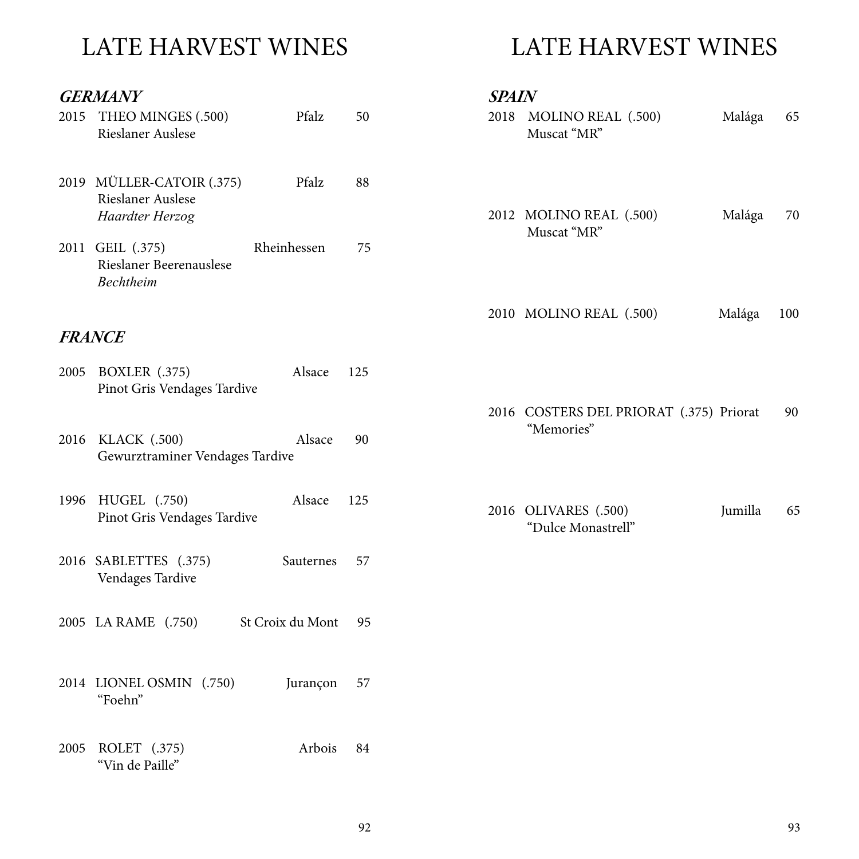# LATE HARVEST WINES

#### *GERMANY*

| 2015 THEO MINGES (.500)<br><b>Rieslaner Auslese</b>               | Pfalz       | 50  | $\overline{c}$ |
|-------------------------------------------------------------------|-------------|-----|----------------|
| 2019 MÜLLER-CATOIR (.375)<br>Rieslaner Auslese<br>Haardter Herzog | Pfalz       | 88  | $\overline{c}$ |
| 2011 GEIL (.375)<br>Rieslaner Beerenauslese<br><b>Bechtheim</b>   | Rheinhessen | 75  |                |
| <b>FRANCE</b>                                                     |             |     | $\overline{c}$ |
| 2005 BOXLER (.375)<br>Pinot Gris Vendages Tardive                 | Alsace      | 125 |                |
| 2016 KLACK (.500)<br>Gewurztraminer Vendages Tardive              | Alsace      | 90  | $\overline{2}$ |
| 1996 HUGEL (.750)<br>Pinot Gris Vendages Tardive                  | Alsace      | 125 | $\overline{2}$ |
| 2016 SABLETTES (.375)<br>Vendages Tardive                         | Sauternes   | 57  |                |
| 2005 LA RAME (.750) St Croix du Mont 95                           |             |     |                |
| 2014 LIONEL OSMIN (.750)<br>"Foehn"                               | Jurançon 57 |     |                |
| 2005 ROLET (.375)<br>"Vin de Paille"                              | Arbois      | 84  |                |

# LATE HARVEST WINES

| 2012 MOLINO REAL (.500)<br>Muscat "MR"                | Malága  | 70  |
|-------------------------------------------------------|---------|-----|
| 2010 MOLINO REAL (.500)                               | Malága  | 100 |
| 2016 COSTERS DEL PRIORAT (.375) Priorat<br>"Memories" |         | 90  |
| 2016 OLIVARES (.500)<br>"Dulce Monastrell"            | Jumilla | 65  |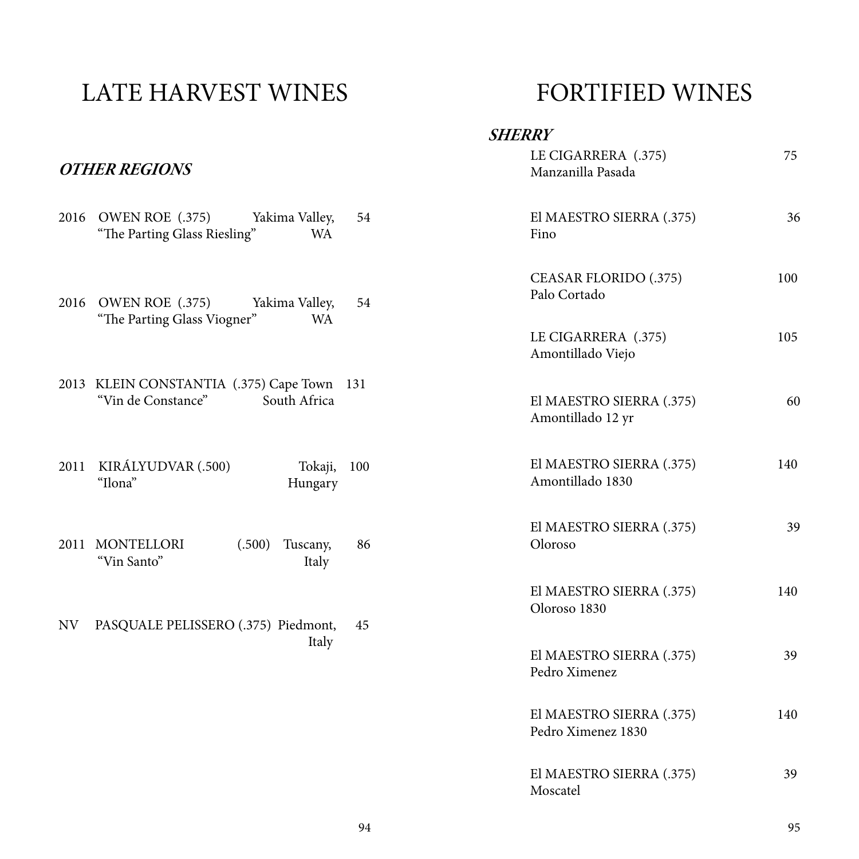# LATE HARVEST WINES

#### *OTHER REGIONS*

|    | 2016 OWEN ROE (.375) Yakima Valley,<br>"The Parting Glass Riesling"<br><b>WA</b>   | 54  | El M.<br>Fino        |
|----|------------------------------------------------------------------------------------|-----|----------------------|
|    | 2016 OWEN ROE (.375)<br>Yakima Valley,<br>"The Parting Glass Viogner"<br><b>WA</b> | 54  | CEA:<br>Palo<br>LE C |
|    |                                                                                    |     | Amo                  |
|    | 2013 KLEIN CONSTANTIA (.375) Cape Town 131<br>"Vin de Constance" South Africa      |     | El M.<br>Amo         |
|    | 2011 KIRÁLYUDVAR (.500)<br>Tokaji,<br>"Ilona"<br>Hungary                           | 100 | El M.<br>Amo         |
|    | 2011 MONTELLORI<br>(.500)<br>Tuscany,<br>"Vin Santo"<br>Italy                      | 86  | El M.<br>Oloro       |
| NV | PASQUALE PELISSERO (.375) Piedmont,                                                | 45  | El M.<br>Oloro       |
|    | Italy                                                                              |     | El M.<br>Pedro       |
|    |                                                                                    |     | El M.<br>Pedro       |

# FORTIFIED WINES

| SHERRY |                                                |     |
|--------|------------------------------------------------|-----|
|        | LE CIGARRERA (.375)<br>Manzanilla Pasada       | 75  |
|        | El MAESTRO SIERRA (.375)<br>Fino               | 36  |
|        | <b>CEASAR FLORIDO (.375)</b><br>Palo Cortado   | 100 |
|        | LE CIGARRERA (.375)<br>Amontillado Viejo       | 105 |
|        | El MAESTRO SIERRA (.375)<br>Amontillado 12 yr  | 60  |
|        | El MAESTRO SIERRA (.375)<br>Amontillado 1830   | 140 |
|        | El MAESTRO SIERRA (.375)<br>Oloroso            | 39  |
|        | El MAESTRO SIERRA (.375)<br>Oloroso 1830       | 140 |
|        | El MAESTRO SIERRA (.375)<br>Pedro Ximenez      | 39  |
|        | El MAESTRO SIERRA (.375)<br>Pedro Ximenez 1830 | 140 |
|        | El MAESTRO SIERRA (.375)<br>Moscatel           | 39  |